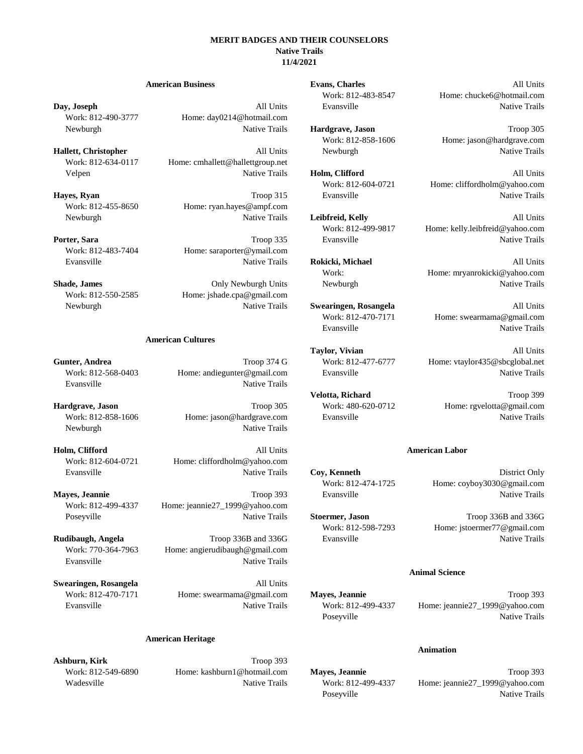### **MERIT BADGES AND THEIR COUNSELORS Native Trails 11/4/2021**

### **American Cultures**

Work: 812-490-3777 Home: day0214@hotmail.com Newburgh Native Trails **Hardgrave, Jason** Troop 305

Work: 812-634-0117 Home: cmhallett@hallettgroup.net **Velpen Native Trails Holm, Clifford All Units All Units** 

Work: 812-455-8650 Home: ryan.hayes@ampf.com

Work: 812-483-7404 Home: saraporter@ymail.com Evansville Native Trails **Rokicki, Michael** All Units

Work: 812-550-2585 Home: jshade.cpa@gmail.com Newburgh Native Trails **Swearingen, Rosangela** All Units

Work: 812-568-0403 Home: andiegunter@gmail.com Evansville Evansville Native Trails Evansville Native Trails

Work: 812-858-1606 Home: jason@hardgrave.com Evansville Evansville Native Trails Newburgh Native Trails

**Holm, Clifford All Units American Labor All Units American Labor American Labor** Work: 812-604-0721 Home: cliffordholm@yahoo.com Evansville **Native Trails Coy, Kenneth Conduction** District Only

**Mayes, Jeannie** Native Trails (Native Trails According 393 Evansville Native Trails Native Trails Native Trails According to the Native Trails According to the Native Trails According to the Native Trails According to the Work: 812-499-4337 Home: jeannie27\_1999@yahoo.com Poseyville Native Trails **Stoermer, Jason** Troop 336B and 336G

**Rudibaugh, Angela** Troop 336B and 336G Evansville Native Trails Work: 770-364-7963 Home: angierudibaugh@gmail.com Evansville Native Trails

**Swearingen, Rosangela** All Units

### **American Heritage**

**Ashburn, Kirk** Troop 393

Work: 812-474-1725 Home: coyboy3030@gmail.com

Work: 812-598-7293 Home: jstoermer77@gmail.com

### **Animal Science**

Work: 812-470-7171 Home: swearmama@gmail.com **Mayes, Jeannie** Troop 393 Evansville Native Trails Work: 812-499-4337 Home: jeannie27\_1999@yahoo.com Poseyville Native Trails

### **Animation**

Work: 812-549-6890 Home: kashburn1@hotmail.com **Mayes, Jeannie** Troop 393 Wadesville Native Trails Work: 812-499-4337 Home: jeannie27\_1999@yahoo.com Poseyville Native Trails

**American Business Evans, Charles Evans, Charles All Units** Work: 812-483-8547 Home: chucke6@hotmail.com **Day, Joseph** Native Trails All Units Evansville Native Trails Native Trails Native Trails

Work: 812-858-1606 Home: jason@hardgrave.com **Hallett, Christopher** Mative Trails **All Units** Newburgh Newburgh Native Trails

Work: 812-604-0721 Home: cliffordholm@yahoo.com **Hayes, Ryan** Native Trails **Troop 315** Evansville Evansville Native Trails

Newburgh Native Trails **Leibfreid, Kelly** All Units Work: 812-499-9817 Home: kelly.leibfreid@yahoo.com **Porter, Sara** Native Trails **Porter, Sara** Native Trails Native Trails **Propriet Accord Propriet Accord Propriet Accord Propriet Accord Propriet Native Trails** 

Work: Home: mryanrokicki@yahoo.com **Shade, James Only Newburgh Units** Newburgh Newburgh Native Trails Native Trails

> Work: 812-470-7171 Home: swearmama@gmail.com Evansville Native Trails

Taylor, Vivian All Units **Gunter, Andrea** Troop 374 G Work: 812-477-6777 Home: vtaylor435@sbcglobal.net

**Velotta, Richard** Troop 399 **Hardgrave, Jason Home:** rgvelotta@gmail.com **Troop 305** Work: 480-620-0712 Home: rgvelotta@gmail.com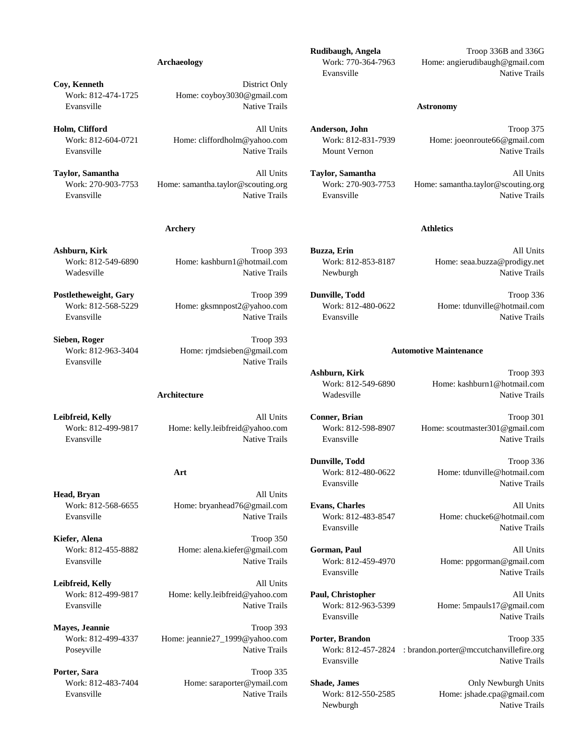**Coy, Kenneth** District Only Work: 812-474-1725 Home: coyboy3030@gmail.com Evansville Native Trails **Astronomy**

Evansville Native Trails Evansville Native Trails

**Sieben, Roger** Troop 393 Work: 812-963-3404 Home: rjmdsieben@gmail.com **Automotive Maintenance** Evansville Native Trails

**Head, Bryan** All Units Work: 812-568-6655 Home: bryanhead76@gmail.com **Evans, Charles** All Units Evansville Native Trails Work: 812-483-8547 Home: chucke6@hotmail.com

**Kiefer, Alena** Troop 350 Work: 812-455-8882 Home: alena.kiefer@gmail.com **Gorman, Paul** All Units All Units Evansville Native Trails Work: 812-459-4970 Home: ppgorman@gmail.com

**Leibfreid, Kelly All Units** Work: 812-499-9817 Home: kelly.leibfreid@yahoo.com **Paul, Christopher** All Units Evansville Native Trails Work: 812-963-5399 Home: 5mpauls17@gmail.com

Mayes, Jeannie Troop 393

**Porter, Sara** Troop 335 Work: 812-483-7404 Home: saraporter@ymail.com **Shade, James** Only Newburgh Units

**Rudibaugh, Angela** Troop 336B and 336G **Archaeology** Work: 770-364-7963 Home: angierudibaugh@gmail.com Evansville Native Trails

**Holm, Clifford** All Units **Anderson, John** Troop 375 Work: 812-604-0721 Home: cliffordholm@yahoo.com Work: 812-831-7939 Home: joeonroute66@gmail.com Evansville **Native Trails** Native Trails Mount Vernon Native Trails Mount Vernon Native Trails

**Taylor, Samantha** All Units **Taylor, Samantha** All Units Work: 270-903-7753 Home: samantha.taylor@scouting.org Work: 270-903-7753 Home: samantha.taylor@scouting.org

### **Archery Athletics**

**Ashburn, Kirk** Troop 393 **Buzza, Erin** All Units Work: 812-549-6890 Home: kashburn1@hotmail.com Work: 812-853-8187 Home: seaa.buzza@prodigy.net Wadesville **Native Trails** Native Trails Newburgh Native Trails Native Trails Native Trails

**Postletheweight, Gary** Troop 399 **Dunville, Todd** Troop 336 Work: 812-568-5229 Home: gksmnpost2@yahoo.com Work: 812-480-0622 Home: tdunville@hotmail.com Evansville Native Trails Evansville Native Trails

**Ashburn, Kirk** Troop 393 Work: 812-549-6890 Home: kashburn1@hotmail.com **Architecture** Native Trails **Native Trails** Wadesville Native Trails

**Leibfreid, Kelly** Troop 301 Work: 812-499-9817 Home: kelly.leibfreid@yahoo.com Work: 812-598-8907 Home: scoutmaster301@gmail.com Evansville Native Trails Evansville Native Trails

> **Dunville, Todd** Troop 336 **Art** Work: 812-480-0622 Home: tdunville@hotmail.com Evansville Native Trails

> > Evansville Native Trails

Evansville Native Trails

Evansville Native Trails

Work: 812-499-4337 Home: jeannie27\_1999@yahoo.com **Porter, Brandon** Troop 335 Poseyville Native Trails Work: 812-457-2824 : brandon.porter@mccutchanvillefire.org Evansville Native Trails

Evansville Native Trails Work: 812-550-2585 Home: jshade.cpa@gmail.com Newburgh **Native Trails**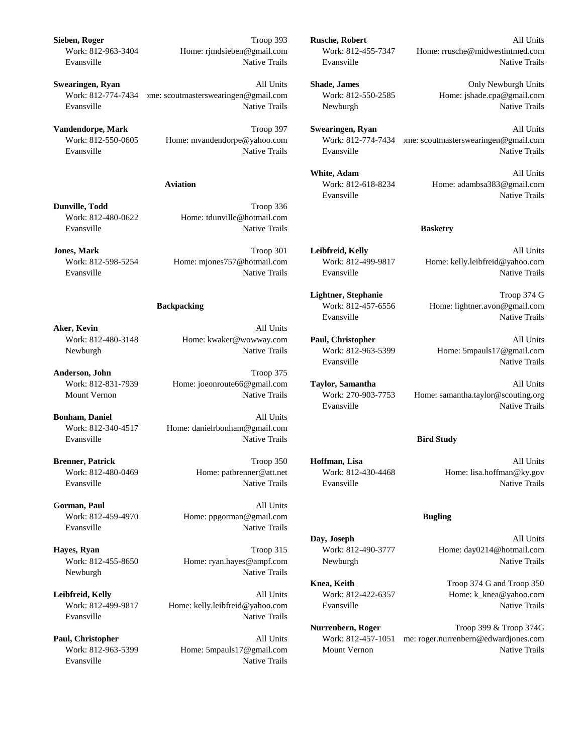**Sieben, Roger** Troop 393 **Rusche, Robert** All Units Work: 812-963-3404 Home: rjmdsieben@gmail.com Work: 812-455-7347 Home: rrusche@midwestintmed.com Evansville Native Trails Evansville Native Trails

**Swearingen, Ryan** All Units **Shade, James** Only Newburgh Units **Shade, James** Only Newburgh Units Work: 812-774-7434 >me: scoutmasterswearingen@gmail.com Work: 812-550-2585 Home: jshade.cpa@gmail.com Evansville Native Trails Newburgh Native Trails

**Vandendorpe, Mark Troop 397 Swearingen, Ryan All Units** All Units

**Dunville, Todd** Troop 336 Work: 812-480-0622 Home: tdunville@hotmail.com Evansville **Basketry Basketry Native Trails 1996 Basketry** 

**Jones, Mark All Units Company 10 12 12 13 13 14 14 14 14 14 15 16 17 17:00 17:00 17:00 17:00 17:00 17:00 17:00 17:00 17:00 17:00 17:00 17:00 17:00 17:00 17:00 17:00 17:00 17:00 17:00 17:00 17:00 17:00 17:00 17:00 17:0** Work: 812-598-5254 Home: mjones757@hotmail.com Work: 812-499-9817 Home: kelly.leibfreid@yahoo.com Evansville Native Trails Evansville Native Trails

**Aker, Kevin** All Units

**Anderson, John** Troop 375

Work: 812-480-3148 Home: kwaker@wowway.com **Paul, Christopher** All Units Newburgh Native Trails Work: 812-963-5399 Home: 5mpauls17@gmail.com

Work: 812-831-7939 Home: joeonroute66@gmail.com **Taylor, Samantha** All Units Mount Vernon Native Trails Work: 270-903-7753 Home: samantha.taylor@scouting.org

**Bonham, Daniel All Units** Work: 812-340-4517 Home: danielrbonham@gmail.com Evansville **Bird Study Bird Study Report Associates Bird Study Bird Study Bird Study** 

Work: 812-480-0469 Home: patbrenner@att.net Work: 812-430-4468 Home: lisa.hoffman@ky.gov Evansville Native Trails Evansville Native Trails

**Gorman, Paul** All Units Work: 812-459-4970 **Home:** ppgorman@gmail.com **Bugling** Evansville Native Trails

Newburgh Native Trails

**Leibfreid, Kelly All Units** Work: 812-422-6357 **Home:** k knea@yahoo.com Work: 812-499-9817 Home: kelly.leibfreid@yahoo.com Evansville Native Trails Evansville Native Trails

Evansville Native Trails

Work: 812-550-0605 Home: mvandendorpe@yahoo.com Work: 812-774-7434 me: scoutmasterswearingen@gmail.com Evansville Native Trails Evansville Native Trails

**White, Adam** All Units

## **Aviation** Work: 812-618-8234 Home: adambsa383@gmail.com Evansville Native Trails

Lightner, Stephanie Troop 374 G **Backpacking** Work: 812-457-6556 Home: lightner.avon@gmail.com Evansville Native Trails

Evansville Native Trails

**Day, Joseph** All Units **Hayes, Ryan** Troop 315 Work: 812-490-3777 Home: day0214@hotmail.com Work: 812-455-8650 Home: ryan.hayes@ampf.com Newburgh Native Trails Native Trails

**Knea, Keith** Troop 374 G and Troop 350

**Nurrenbern, Roger** Troop 399 & Troop 374G Paul, Christopher All Units Work: 812-457-1051 me: roger.nurrenbern@edwardjones.com Work: 812-963-5399 Home: 5mpauls17@gmail.com Mount Vernon Native Trails

**Brenner, Patrick** Troop 350 **Hoffman, Lisa** All Units

Evansville Native Trails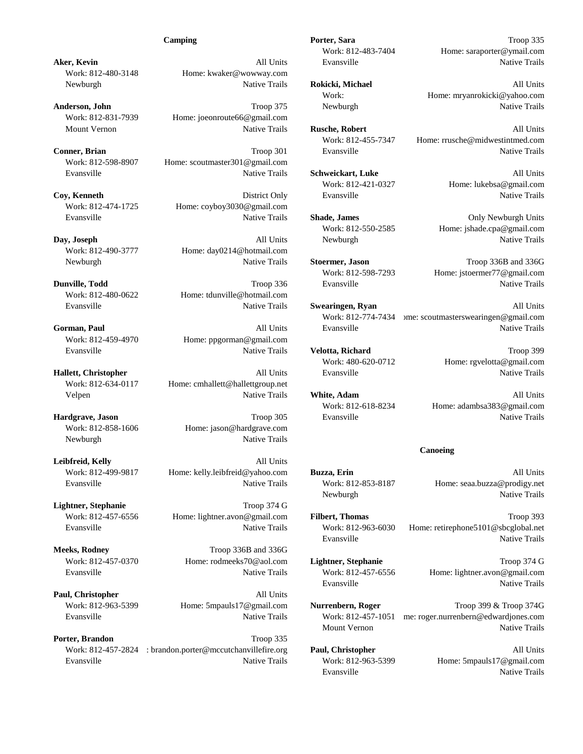**Porter, Brandon** Troop 335

**Aker, Kevin** Native Trails **All Units** Evansville **All Units** Evansville Native Trails Work: 812-480-3148 Home: kwaker@wowway.com Newburgh Native Trails **Rokicki, Michael** All Units

**Anderson, John** Native Trails **Troop 375** Newburgh Newburgh Native Trails Work: 812-831-7939 Home: joeonroute66@gmail.com Mount Vernon **Native Trails Rusche, Robert All Units All Units All Units** 

**Conner, Brian** Native Trails **Conner, Brian** Native Trails **Native Trails** 1 **Conner**, **Primary 1 Native Trails** 1 **Conner**, **Brian** Native Trails 1 **Conner**, **Brian** 1 **Conner**, **Brian** 1 **Conner**, **Brian** 1 **Conner**, Work: 812-598-8907 Home: scoutmaster301@gmail.com Evansville Native Trails **Schweickart, Luke** All Units

**Coy, Kenneth District Only Evansville District Only Consumers District Only Consumers Evansville Native Trails** Work: 812-474-1725 Home: coyboy3030@gmail.com Evansville Native Trails **Shade, James** Only Newburgh Units

Work: 812-490-3777 Home: day0214@hotmail.com

Work: 812-480-0622 Home: tdunville@hotmail.com

Work: 812-459-4970 Home: ppgorman@gmail.com Evansville Native Trails **Velotta, Richard** Troop 399

Work: 812-634-0117 Home: cmhallett@hallettgroup.net

Work: 812-858-1606 Home: jason@hardgrave.com Newburgh Native Trails

**Leibfreid, Kelly All Units** Work: 812-499-9817 Home: kelly.leibfreid@yahoo.com **Buzza, Erin** All Units Evansville Native Trails Work: 812-853-8187 Home: seaa.buzza@prodigy.net

**Lightner, Stephanie** Troop 374 G Work: 812-457-6556 Home: lightner.avon@gmail.com **Filbert, Thomas** Troop 393 Evansville Native Trails Work: 812-963-6030 Home: retirephone5101@sbcglobal.net

**Meeks, Rodney** Troop 336B and 336G

Paul, Christopher All Units

Work: 812-457-2824 : brandon.porter@mccutchanvillefire.org **Paul, Christopher** All Units Evansville Native Trails Work: 812-963-5399 Home: 5mpauls17@gmail.com

**Camping 235 Troop 335** Work: 812-483-7404 Home: saraporter@ymail.com

Work: Home: mryanrokicki@yahoo.com

Work: 812-455-7347 Home: rrusche@midwestintmed.com

Work: 812-421-0327 Home: lukebsa@gmail.com

Work: 812-550-2585 Home: jshade.cpa@gmail.com **Day, Joseph** Native Trails **All Units** Newburgh Native Trails Native Trails

Newburgh Native Trails **Stoermer, Jason** Troop 336B and 336G Work: 812-598-7293 Home: jstoermer77@gmail.com **Dunville, Todd** Native Trails **Troop 336** Evansville Evansville Native Trails

Evansville Native Trails **Swearingen, Ryan** All Units Work: 812-774-7434 > me: scoutmasterswearingen@gmail.com **Gorman, Paul** Native Trails **All Units** Evansville **Example 2018** Native Trails

Work: 480-620-0712 Home: rgvelotta@gmail.com **Hallett, Christopher All Units** Evansville **Example 2018 All Units** Evansville **Example 2018 Native Trails** 

Velpen **Native Trails White, Adam All Units All Units** Work: 812-618-8234 Home: adambsa383@gmail.com **Hardgrave, Jason** Native Trails **Native Trails** Troop 305 Evansville Native Trails Native Trails

### **Canoeing**

Newburgh Native Trails

Work: 812-457-0370 Home: rodmeeks70@aol.com **Lightner, Stephanie** Troop 374 G Evansville Native Trails Work: 812-457-6556 Home: lightner.avon@gmail.com Evansville Native Trails

Work: 812-963-5399 Home: 5mpauls17@gmail.com **Nurrenbern, Roger** Troop 399 & Troop 374G Evansville Native Trails Work: 812-457-1051 me: roger.nurrenbern@edwardjones.com Mount Vernon Native Trails

Evansville Native Trails

Evansville Native Trails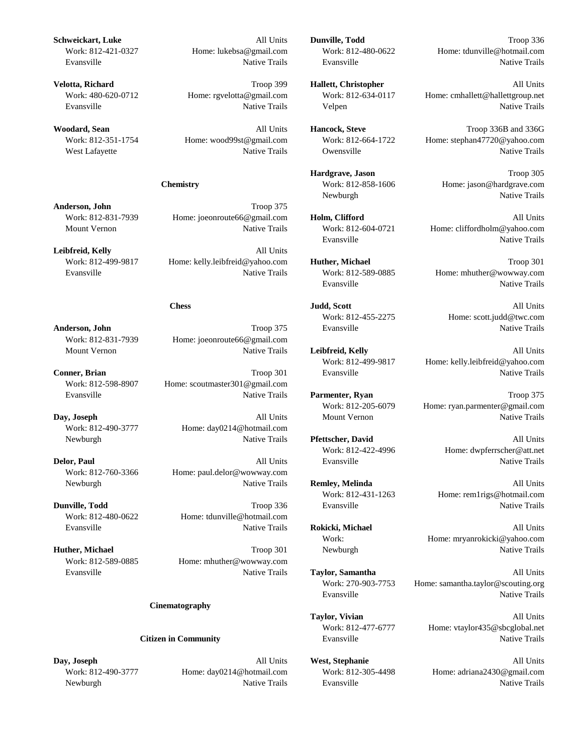**Anderson, John** Troop 375

**Leibfreid, Kelly** All Units Work: 812-499-9817 Home: kelly.leibfreid@yahoo.com **Huther, Michael** Troop 301 Evansville Native Trails Work: 812-589-0885 Home: mhuther@wowway.com

**Anderson, John** Troop 375 Evansville Native Trails Work: 812-831-7939 Home: joeonroute66@gmail.com

**Conner, Brian** Native Trails **Conner, Brian** Native Trails **Native Trails** 1 **Conner**, **Primary 1 Native Trails** 1 **Conner**, **Brian** Native Trails 1 **Conner**, **Brian** 1 **Conner**, **Brian** 1 **Conner**, **Brian** 1 **Conner**, Work: 812-598-8907 Home: scoutmaster301@gmail.com

Work: 812-490-3777 Home: day0214@hotmail.com Newburgh Native Trails **Pfettscher, David** All Units

**Delor, Paul** Native Trails **All Units** Evansville **Example 2018** Native Trails Work: 812-760-3366 Home: paul.delor@wowway.com Newburgh Native Trails **Remley, Melinda** All Units

**Dunville, Todd** Native Trails **Troop 336** Evansville Evansville Native Trails Work: 812-480-0622 Home: tdunville@hotmail.com

Work: 812-589-0885 Home: mhuther@wowway.com Evansville Native Trails **Taylor, Samantha** All Units

### **Cinematography**

**Schweickart, Luke** Troop 336 **All Units Dunville, Todd** Troop 336 Work: 812-421-0327 Home: lukebsa@gmail.com Work: 812-480-0622 Home: tdunville@hotmail.com Evansville Native Trails Evansville Native Trails

**Velotta, Richard** Troop 399 **Hallett, Christopher** All Units Work: 480-620-0712 Home: rgvelotta@gmail.com Work: 812-634-0117 Home: cmhallett@hallettgroup.net Evansville Native Trails Velpen Native Trails

**Woodard, Sean All Units Hancock, Steve** Troop 336B and 336G Work: 812-351-1754 Home: wood99st@gmail.com Work: 812-664-1722 Home: stephan47720@yahoo.com West Lafayette **Native Trails** Covensville **Native Trails** Owensville Native Trails

> **Hardgrave, Jason** Troop 305 **Chemistry** Work: 812-858-1606 Home: jason@hardgrave.com Newburgh Native Trails

Work: 812-831-7939 Home: joeonroute66@gmail.com **Holm, Clifford** All Units Mount Vernon Native Trails Work: 812-604-0721 Home: cliffordholm@yahoo.com Evansville Native Trails

Evansville Native Trails

**Chess Judd, Scott** All Units Work: 812-455-2275 Home: scott.judd@twc.com

Mount Vernon **Native Trails Leibfreid, Kelly All Units All Units** Work: 812-499-9817 Home: kelly.leibfreid@yahoo.com

Evansville Native Trails **Parmenter, Ryan** Troop 375 Work: 812-205-6079 Home: ryan.parmenter@gmail.com **Day, Joseph** Native Trails **All Units** Mount Vernon Native Trails Native Trails

Work: 812-422-4996 Home: dwpferrscher@att.net

Work: 812-431-1263 Home: rem1rigs@hotmail.com

Evansville Native Trails **Rokicki, Michael** All Units Work: Home: mryanrokicki@yahoo.com **Huther, Michael Native Trails Community Community Troop 301 Newburgh Native Trails Native Trails Native Trails** 

> Work: 270-903-7753 Home: samantha.taylor@scouting.org Evansville Native Trails

**Taylor, Vivian** All Units Work: 812-477-6777 Home: vtaylor435@sbcglobal.net **Citizen in Community Evansville** Evansville **Native Trails** Native Trails

**Day, Joseph** All Units **West, Stephanie** All Units Work: 812-490-3777 Home: day0214@hotmail.com Work: 812-305-4498 Home: adriana2430@gmail.com Newburgh Native Trails Evansville Native Trails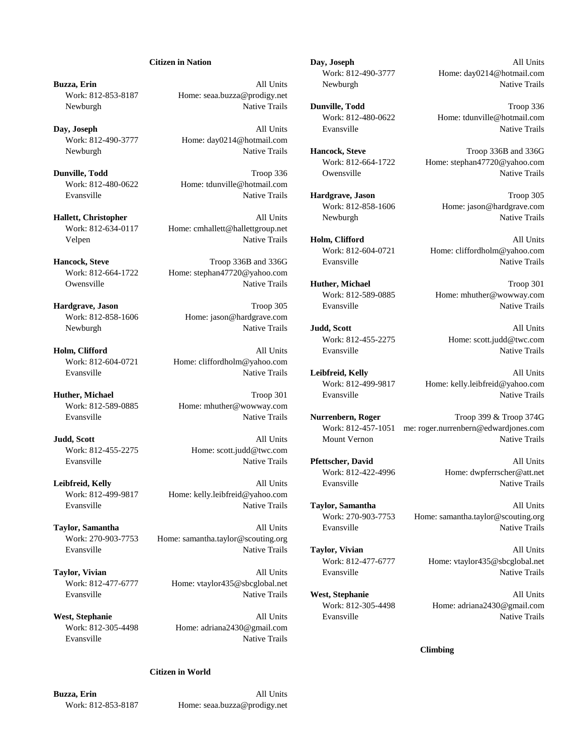Work: 812-853-8187 Home: seaa.buzza@prodigy.net Newburgh Native Trails **Dunville, Todd** Troop 336

Work: 812-490-3777 Home: day0214@hotmail.com

Work: 812-480-0622 Home: tdunville@hotmail.com Evansville Native Trails **Hardgrave, Jason** Troop 305

**Hallett, Christopher** Mative Trails **All Units** Newburgh Newburgh Native Trails Work: 812-634-0117 Home: cmhallett@hallettgroup.net Velpen **Native Trails Holm, Clifford All Units** All Units

**Hancock, Steve** Troop 336B and 336G Evansville Native Trails Work: 812-664-1722 Home: stephan47720@yahoo.com Owensville Native Trails **Huther, Michael** Troop 301

Work: 812-858-1606 Home: jason@hardgrave.com Newburgh **Native Trails Judd, Scott All Units** All Units

**Holm, Clifford** Native Trails **All Units** Evansville **All Units** Evansville Native Trails Work: 812-604-0721 Home: cliffordholm@yahoo.com

Work: 812-589-0885 Home: mhuther@wowway.com

Work: 812-455-2275 Home: scott.judd@twc.com Evansville Native Trails **Pfettscher, David** All Units

**Leibfreid, Kelly** Native Trails **All Units** Evansville **Example 2018** Native Trails Work: 812-499-9817 Home: kelly.leibfreid@yahoo.com

Work: 270-903-7753 Home: samantha.taylor@scouting.org Evansville **Native Trails Taylor, Vivian Constanting Constanting Constanting Constanting Constanting Constanting Constanting Constanting Constanting Constanting Constanting Constanting Constanting Constanting Constanting** 

Work: 812-477-6777 Home: vtaylor435@sbcglobal.net Evansville Native Trails **West, Stephanie** All Units

**West, Stephanie** Native Trails **All Units** Evansville **Example 2018** Native Trails Work: 812-305-4498 Home: adriana2430@gmail.com Evansville Native Trails

### **Citizen in World**

**Buzza, Erin** All Units Work: 812-853-8187 Home: seaa.buzza@prodigy.net

**Citizen in Nation Day, Joseph Citizen in Nation All Units** Work: 812-490-3777 Home: day0214@hotmail.com **Buzza, Erin** Native Trails Newburgh Native Trails Newburgh Native Trails Native Trails Native Trails Native Trails

Work: 812-480-0622 Home: tdunville@hotmail.com **Day, Joseph** Native Trails All Units Evansville Native Trails Native Trails Native Trails

Newburgh Native Trails **Hancock, Steve** Troop 336B and 336G Work: 812-664-1722 Home: stephan47720@yahoo.com **Dunville, Todd Troop 336 Owensville CONSUMERTY And CONSUMERTY OWENSVILLE CONSUMERTY Native Trails** 

Work: 812-858-1606 Home: jason@hardgrave.com

Work: 812-604-0721 Home: cliffordholm@yahoo.com

Work: 812-589-0885 Home: mhuther@wowway.com **Hardgrave, Jason** Native Trails **Troop 305** Evansville Native Trails **Native Trails** Native Trails

Work: 812-455-2275 Home: scott.judd@twc.com

Evansville Native Trails **Leibfreid, Kelly** All Units Work: 812-499-9817 Home: kelly.leibfreid@yahoo.com **Huther, Michael** Native Trails **Troop 301** Evansville Evansville Native Trails

Evansville Native Trails **Nurrenbern, Roger** Troop 399 & Troop 374G Work: 812-457-1051 me: roger.nurrenbern@edwardjones.com **Judd, Scott** Native Trails **All Units** Mount Vernon Native Trails Native Trails Native Trails

Work: 812-422-4996 Home: dwpferrscher@att.net

Evansville Native Trails **Taylor, Samantha** All Units Work: 270-903-7753 Home: samantha.taylor@scouting.org **Taylor, Samantha All Units** Evansville **Example 2008** Native Trails Native Trails

Work: 812-477-6777 Home: vtaylor435@sbcglobal.net **Taylor, Vivian** Native Trails All Units Evansville **Example 2018** Native Trails Native Trails

Work: 812-305-4498 Home: adriana2430@gmail.com

**Climbing**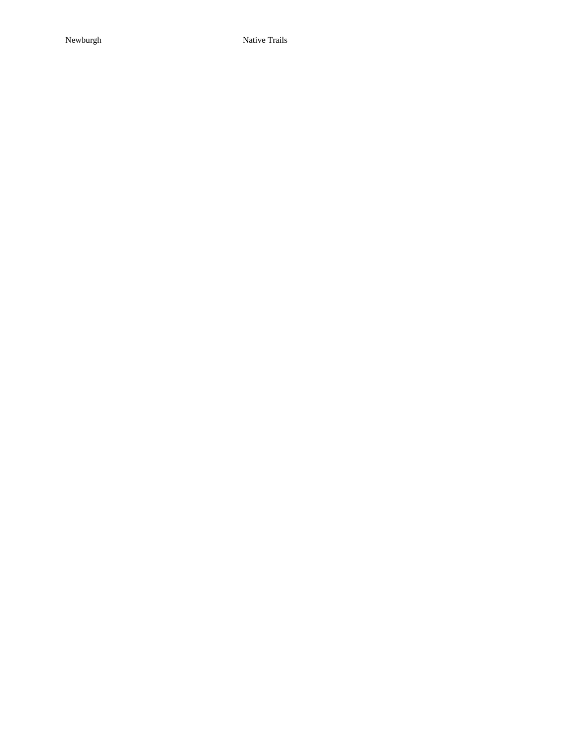Newburgh Native Trails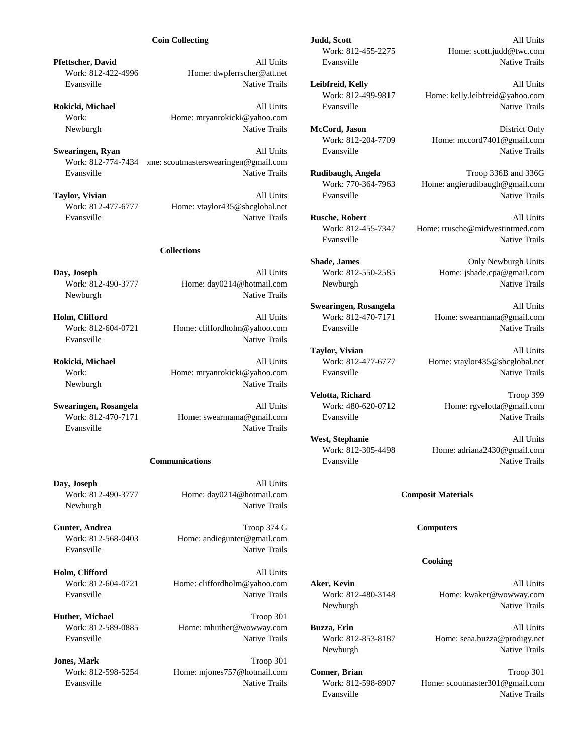Work: 812-422-4996 Home: dwpferrscher@att.net

Work: Home: mryanrokicki@yahoo.com

**Swearingen, Ryan** All Units Evansville Native Trails Native Trails Native Trails Native Trails Native Trails Native Trails Native Trails Native Trails Native Trails Native Trails Native Trails Native Trails Native Trails Work: 812-774-7434 > me: scoutmasterswearingen@gmail.com Evansville Native Trails **Rudibaugh, Angela** Troop 336B and 336G

Work: 812-477-6777 Home: vtaylor435@sbcglobal.net

### **Collections**

**Day, Joseph** All Units Work: 812-550-2585 Home: jshade.cpa@gmail.com Work: 812-490-3777 Home: day0214@hotmail.com Newburgh News Headler Native Trails Newburgh Native Trails

Work: 812-604-0721 Home: cliffordholm@yahoo.com Evansville **Evansville** Native Trails Evansville Native Trails

Newburgh Native Trails

Work: 812-470-7171 Home: swearmama@gmail.com Evansville Evansville Native Trails Evansville Native Trails

**Day, Joseph** All Units Work: 812-490-3777 Home: day0214@hotmail.com **Composit Materials** Newburgh Native Trails

**Gunter, Andrea Computers** Troop 374 G **Computers** Work: 812-568-0403 Home: andiegunter@gmail.com Evansville Native Trails

**Holm, Clifford All Units** Work: 812-604-0721 Home: cliffordholm@yahoo.com **Aker, Kevin** All Units Evansville Native Trails Work: 812-480-3148 Home: kwaker@wowway.com

**Huther, Michael Troop 301** Work: 812-589-0885 Home: mhuther@wowway.com **Buzza, Erin All Units** All Units

**Jones, Mark** Troop 301 Work: 812-598-5254 Home: mjones757@hotmail.com **Conner, Brian** Troop 301

### **Cooking**

**Coin Collecting Judd, Scott** All Units Work: 812-455-2275 Home: scott.judd@twc.com **Pfettscher, David** Native Trails **All Units** Evansville **Example 2018** Native Trails

Evansville Native Trails **Leibfreid, Kelly** All Units Work: 812-499-9817 Home: kelly.leibfreid@yahoo.com **Rokicki, Michael** Native Trails **All Units** Evansville **Example 2018** Native Trails

Newburgh Native Trails **McCord, Jason** District Only Work: 812-204-7709 Home: mccord7401@gmail.com

Work: 770-364-7963 Home: angierudibaugh@gmail.com **Taylor, Vivian** Native Trails All Units Evansville **Example 2018** Native Trails Native Trails

Evansville Native Trails **Rusche, Robert** All Units Work: 812-455-7347 Home: rrusche@midwestintmed.com Evansville Native Trails

**Shade, James** Only Newburgh Units

**Swearingen, Rosangela** All Units **Holm, Clifford All Units** Work: 812-470-7171 Home: swearmama@gmail.com

Taylor, Vivian **All Units Rokicki, Michael All Units** Work: 812-477-6777 Home: vtaylor435@sbcglobal.net Work: https://workinal.com Evansville Native Trails Native Trails Native Trails Native Trails Native Trails Native Trails

**Velotta, Richard** Troop 399 **Swearingen, Rosangela** All Units Work: 480-620-0712 Home: rgvelotta@gmail.com

> West, Stephanie **All Units** Work: 812-305-4498 Home: adriana2430@gmail.com **Communications** Evansville Evansville Native Trails

Newburgh Native Trails

Evansville Native Trails Work: 812-853-8187 Home: seaa.buzza@prodigy.net Newburgh **Native Trails** 

Evansville Native Trails Work: 812-598-8907 Home: scoutmaster301@gmail.com Evansville Native Trails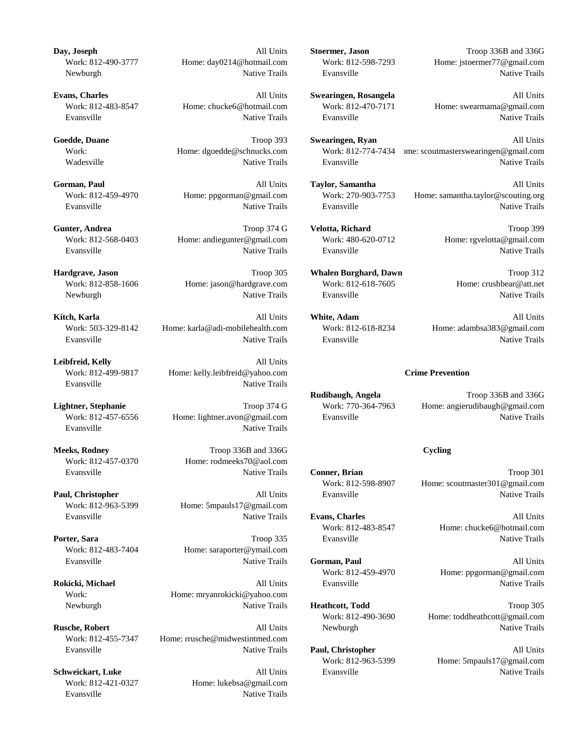**Day, Joseph** All Units **Stoermer, Jason** Troop 336B and 336G

Evansville Native Trails Evansville Native Trails

**Hardgrave, Jason** Troop 305 **Whalen Burghard, Dawn** Troop 312 Work: 812-858-1606 Home: jason@hardgrave.com Work: 812-618-7605 Home: crushbear@att.net Newburgh Native Trails Evansville Native Trails

**Leibfreid, Kelly** All Units Work: 812-499-9817 Home: kelly.leibfreid@yahoo.com **Crime Prevention** Evansville Native Trails

Evansville Native Trails

**Meeks, Rodney Cycling** Troop 336B and 336G **Cycling** Work: 812-457-0370 Home: rodmeeks70@aol.com

Work: 812-963-5399 Home: 5mpauls17@gmail.com Evansville Native Trails **Evans, Charles** All Units

Work: 812-483-7404 Home: saraporter@ymail.com Evansville **Native Trails Corman, Paul Corman, Paul All Units** All Units

Work: Home: mryanrokicki@yahoo.com

Work: 812-455-7347 Home: rrusche@midwestintmed.com Evansville **Native Trails Paul, Christopher All Units** All Units

Work: 812-421-0327 Home: lukebsa@gmail.com Evansville Native Trails

Work: Home: dgoedde@schnucks.com Work: 812-774-7434 me: scoutmasterswearingen@gmail.com Wadesville **Native Trails** Evansville **Native Trails** Evansville **Native Trails** Native Trails

**Rudibaugh, Angela** Troop 336B and 336G Lightner, Stephanie Troop 374 G Work: 770-364-7963 Home: angierudibaugh@gmail.com Work: 812-457-6556 Home: lightner.avon@gmail.com Evansville Evansville Native Trails

Evansville **Native Trails Conner, Brian Conner, Property 1986 Conner, Brian Conner, Brian Conner, Brian Conner, Brian Conner, Brian Conner, Brian Conner, Brian Conner, Brian Conner, Brian Conner, Br** Work: 812-598-8907 Home: scoutmaster301@gmail.com **Paul, Christopher All Units** Evansville **Example 2018 Constant All Units** Evansville **Example 2018 Native Trails** 

Work: 812-483-8547 Home: chucke6@hotmail.com **Porter, Sara** Native Trails **Porter, Sara** Native Trails Native Trails **Properties** Native Trails Native Trails Native Trails

Work: 812-459-4970 Home: ppgorman@gmail.com **Rokicki, Michael** Native Trails **All Units** Evansville **Native Trails** Native Trails

Newburgh Native Trails **Heathcott, Todd** Troop 305 Work: 812-490-3690 Home: toddheathcott@gmail.com **Rusche, Robert** Native Trails **All Units** Newburgh Native Trails Native Trails

Work: 812-963-5399 Home: 5mpauls17@gmail.com **Schweickart, Luke** Native Trails All Units Evansville Native Trails Native Trails

Work: 812-490-3777 Home: day0214@hotmail.com Work: 812-598-7293 Home: jstoermer77@gmail.com Newburgh Native Trails Evansville Native Trails

**Evans, Charles** All Units **Swearingen, Rosangela** All Units Work: 812-483-8547 Home: chucke6@hotmail.com Work: 812-470-7171 Home: swearmama@gmail.com Evansville Native Trails Evansville Native Trails

**Goedde, Duane** Troop 393 **Swearingen, Ryan** All Units

**Gorman, Paul** All Units **Taylor, Samantha** All Units Work: 812-459-4970 Home: ppgorman@gmail.com Work: 270-903-7753 Home: samantha.taylor@scouting.org Evansville Native Trails Evansville Native Trails

**Gunter, Andrea** Troop 314 G **Velotta, Richard** Troop 399 Work: 812-568-0403 Home: andiegunter@gmail.com Work: 480-620-0712 Home: rgvelotta@gmail.com

**Kitch, Karla** All Units **White, Adam** All Units Work: 503-329-8142 Home: karla@adi-mobilehealth.com Work: 812-618-8234 Home: adambsa383@gmail.com Evansville Native Trails Evansville Native Trails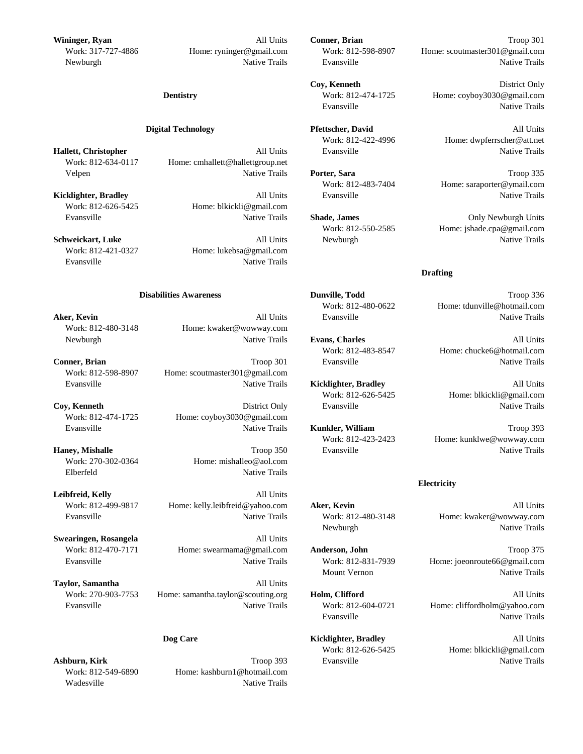Work: 812-634-0117 Home: cmhallett@hallettgroup.net Velpen **Native Trails Porter, Sara Porter, Sara** Troop 335

Work: 812-626-5425 Home: blkickli@gmail.com Evansville Native Trails **Shade, James** Only Newburgh Units

Work: 812-421-0327 Home: lukebsa@gmail.com Evansville Native Trails

Work: 812-480-3148 Home: kwaker@wowway.com

Work: 812-598-8907 Home: scoutmaster301@gmail.com Evansville Native Trails **Kicklighter, Bradley** All Units

**Coy, Kenneth District Only Evansville District Only Consumers District Only Consumers Evansville Native Trails** Work: 812-474-1725 Home: coyboy3030@gmail.com Evansville Native Trails **Kunkler, William** Troop 393

Work: 270-302-0364 Home: mishalleo@aol.com Elberfeld Native Trails

**Leibfreid, Kelly** All Units Work: 812-499-9817 Home: kelly.leibfreid@yahoo.com **Aker, Kevin** All Units Evansville Native Trails Work: 812-480-3148 Home: kwaker@wowway.com

**Swearingen, Rosangela** All Units Work: 812-470-7171 Home: swearmama@gmail.com **Anderson, John** Troop 375

**Taylor, Samantha** All Units Work: 270-903-7753 Home: samantha.taylor@scouting.org **Holm, Clifford** All Units Evansville Native Trails Work: 812-604-0721 Home: cliffordholm@yahoo.com

Work: 812-549-6890 Home: kashburn1@hotmail.com Wadesville Native Trails

### **Electricity**

**Wininger, Ryan** Troop 301 Work: 317-727-4886 Home: ryninger@gmail.com Work: 812-598-8907 Home: scoutmaster301@gmail.com Newburgh Native Trails Evansville Native Trails

> **Coy, Kenneth** District Only **Dentistry** Work: 812-474-1725 Home: coyboy3030@gmail.com Evansville Native Trails

**Digital Technology Pfettscher, David** All Units Work: 812-422-4996 Home: dwpferrscher@att.net **Hallett, Christopher All Units** Evansville **Example 2018** Native Trails Native Trails

Work: 812-483-7404 Home: saraporter@ymail.com **Kicklighter, Bradley All Units** Evansville **Example 2008** Native Trails Native Trails

Work: 812-550-2585 Home: jshade.cpa@gmail.com **Schweickart, Luke** Native Trails All Units Newburgh Native Trails Native Trails Native Trails

### **Drafting**

**Disabilities Awareness <b>Dunville, Todd** Troop 336 Work: 812-480-0622 Home: tdunville@hotmail.com **Aker, Kevin** Native Trails **All Units** Evansville **All Units** Evansville Native Trails

Newburgh **Native Trails Evans, Charles Charles** All Units Work: 812-483-8547 Home: chucke6@hotmail.com **Conner, Brian** Native Trails **Conner, Brian** Native Trails **Native Trails** 1 **Conner**, **Primary 1 Native Trails** 1 **Conner**, **Brian** Native Trails 1 **Conner**, **Brian** 1 **Conner**, **Brian** 1 **Conner**, **Brian** 1 **Conner**,

Work: 812-626-5425 Home: blkickli@gmail.com

Work: 812-423-2423 Home: kunklwe@wowway.com **Haney, Mishalle** Native Trails **Troop 350** Evansville **Example Example 2018** Native Trails

Newburgh Native Trails

Evansville Native Trails Work: 812-831-7939 Home: joeonroute66@gmail.com Mount Vernon Native Trails

Evansville Native Trails

**Dog Care 62.1 Kicklighter, Bradley 62.1 Constant Constant All Units All Units** Work: 812-626-5425 Home: blkickli@gmail.com **Ashburn, Kirk** Native Trails (Native Trails 1993) Troop 393 Evansville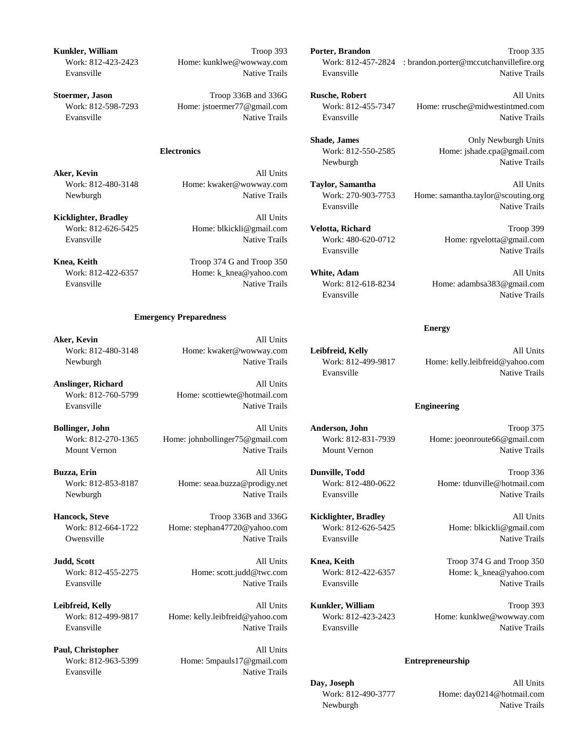**Stoermer, Jason** Troop 336B and 336G **Rusche, Robert** All Units Work: 812-598-7293 Home: jstoermer77@gmail.com Work: 812-455-7347 Home: rrusche@midwestintmed.com Evansville Native Trails Evansville Native Trails

**Aker, Kevin All Units** Work: 812-480-3148 Home: kwaker@wowway.com **Taylor, Samantha** All Units Newburgh Native Trails Work: 270-903-7753 Home: samantha.taylor@scouting.org

**Kicklighter, Bradley** All Units Work: 812-626-5425 Home: blkickli@gmail.com **Velotta, Richard** Troop 399 Evansville Native Trails Work: 480-620-0712 Home: rgvelotta@gmail.com

**Knea, Keith** Troop 374 G and Troop 350 Work: 812-422-6357 Home: k\_knea@yahoo.com **White, Adam** All Units Evansville Native Trails Work: 812-618-8234 Home: adambsa383@gmail.com

### **Emergency Preparedness**

**Aker, Kevin** All Units

**Anslinger, Richard All Units** Work: 812-760-5799 Home: scottiewte@hotmail.com Evansville Native Trails **Engineering**

**Bollinger, John** Troop 375 Work: 812-270-1365 Home: johnbollinger75@gmail.com Work: 812-831-7939 Home: joeonroute66@gmail.com Mount Vernon Native Trails Altive Trails Altive Trails Altive Trails Altive Trails Altive Trails Altive Trails

**Hancock, Steve** Troop 336B and 336G **Kicklighter, Bradley** All Units Work: 812-664-1722 Home: stephan47720@yahoo.com Work: 812-626-5425 Home: blkickli@gmail.com Owensville Native Trails Evansville Native Trails

**Judd, Scott All Units Knea, Keith Component Component All Units Knea, Keith Troop 374 G and Troop 350** Work: 812-455-2275 Home: scott.judd@twc.com Work: 812-422-6357 Home: k\_knea@yahoo.com Evansville Native Trails Evansville Native Trails

Work: 812-499-9817 Home: kelly.leibfreid@yahoo.com Work: 812-423-2423 Home: kunklwe@wowway.com Evansville Native Trails Evansville Native Trails

Paul, Christopher All Units Work: 812-963-5399 Home: 5mpauls17@gmail.com **Entrepreneurship** Evansville Native Trails

**Kunkler, William Troop 315 Troop 393 Porter, Brandon** Troop 325 Troop 335 Work: 812-423-2423 Home: kunklwe@wowway.com Work: 812-457-2824 : brandon.porter@mccutchanvillefire.org Evansville Native Trails Evansville Native Trails

**Shade, James** Only Newburgh Units **Electronics** Work: 812-550-2585 Home: jshade.cpa@gmail.com Newburgh Native Trails

Evansville Native Trails

Evansville Native Trails

Evansville Native Trails

Evansville Native Trails

Work: 812-480-3148 Home: kwaker@wowway.com **Leibfreid, Kelly** All Units Newburgh Native Trails Work: 812-499-9817 Home: kelly.leibfreid@yahoo.com

**Energy**

**Buzza, Erin** All Units **Dunville, Todd** Troop 336 Work: 812-853-8187 Home: seaa.buzza@prodigy.net Work: 812-480-0622 Home: tdunville@hotmail.com Newburgh Native Trails Evansville Native Trails

**Leibfreid, Kelly** All Units **Kunkler, William** Troop 393

**Day, Joseph** All Units Work: 812-490-3777 Home: day0214@hotmail.com Newburgh **Native Trails**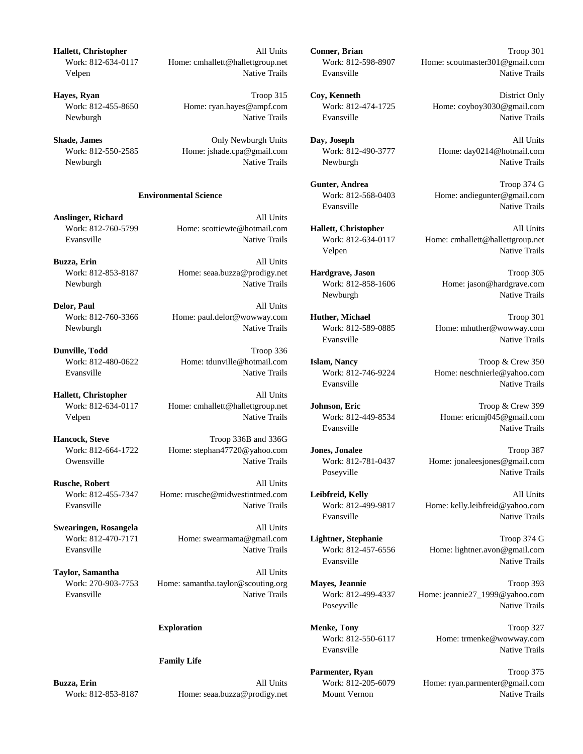**Hallett, Christopher** All Units **Conner, Brian** Troop 301

Work: 812-550-2585 Home: jshade.cpa@gmail.com Work: 812-490-3777 Home: day0214@hotmail.com Newburgh Native Trails Newburgh Native Trails

**Anslinger, Richard** All Units

**Buzza, Erin** All Units Work: 812-853-8187 Home: seaa.buzza@prodigy.net **Hardgrave, Jason** Troop 305 Newburgh Native Trails Work: 812-858-1606 Home: jason@hardgrave.com

**Delor, Paul** All Units Work: 812-760-3366 Home: paul.delor@wowway.com **Huther, Michael** Troop 301

**Dunville, Todd** Troop 336

**Hallett, Christopher** All Units Work: 812-634-0117 Home: cmhallett@hallettgroup.net **Johnson, Eric** Troop & Crew 399 Velpen Native Trails Work: 812-449-8534 Home: ericmj045@gmail.com

**Hancock, Steve** Troop 336B and 336G Work: 812-664-1722 Home: stephan47720@yahoo.com **Jones, Jonalee** Troop 387 Owensville Native Trails Work: 812-781-0437 Home: jonaleesjones@gmail.com

**Rusche, Robert** All Units Work: 812-455-7347 Home: rrusche@midwestintmed.com **Leibfreid, Kelly** All Units Evansville Native Trails Work: 812-499-9817 Home: kelly.leibfreid@yahoo.com

**Swearingen, Rosangela** All Units Work: 812-470-7171 Home: swearmama@gmail.com **Lightner, Stephanie** Troop 374 G

**Taylor, Samantha** All Units Work: 270-903-7753 Home: samantha.taylor@scouting.org **Mayes, Jeannie** Troop 393 Evansville Native Trails Work: 812-499-4337 Home: jeannie27\_1999@yahoo.com

### **Family Life**

Work: 812-634-0117 Home: cmhallett@hallettgroup.net Work: 812-598-8907 Home: scoutmaster301@gmail.com Velpen 1988 Matter Trails Evansville Native Trails Evansville Native Trails Native Trails

**Hayes, Ryan** District Only **Troop 315 Coy, Kenneth** District Only **District Only** Work: 812-455-8650 Home: ryan.hayes@ampf.com Work: 812-474-1725 Home: coyboy3030@gmail.com Newburgh Native Trails Evansville Native Trails

**Shade, James Only Newburgh Units <b>Day, Joseph All Units** All Units

Gunter, Andrea Troop 374 G **Environmental Science** Work: 812-568-0403 Home: andiegunter@gmail.com Evansville Native Trails

Work: 812-760-5799 Home: scottiewte@hotmail.com **Hallett, Christopher** All Units Evansville Native Trails Work: 812-634-0117 Home: cmhallett@hallettgroup.net Velpen Native Trails

Newburgh Native Trails

Newburgh Native Trails Work: 812-589-0885 Home: mhuther@wowway.com Evansville Native Trails

Work: 812-480-0622 Home: tdunville@hotmail.com **Islam, Nancy** Troop & Crew 350 Evansville Native Trails Work: 812-746-9224 Home: neschnierle@yahoo.com Evansville Native Trails

Evansville Native Trails

Poseyville Native Trails

Evansville Native Trails

Evansville Native Trails Work: 812-457-6556 Home: lightner.avon@gmail.com Evansville Native Trails

Poseyville Native Trails

**Exploration Menke, Tony Menke, Tony Troop 327** Work: 812-550-6117 Home: trmenke@wowway.com Evansville Native Trails

**Parmenter, Ryan** Troop 375 **Buzza, Erin All Units** Work: 812-205-6079 Home: ryan.parmenter@gmail.com Work: 812-853-8187 Home: seaa.buzza@prodigy.net Mount Vernon Native Trails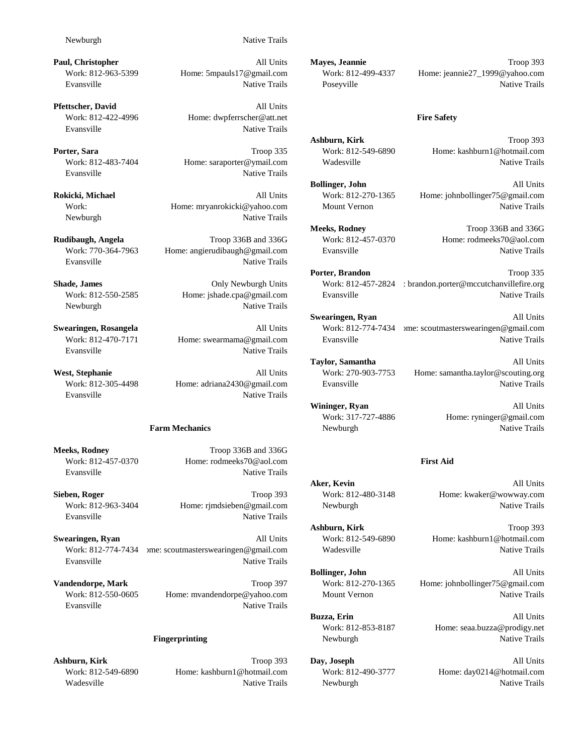### Newburgh Native Trails

**Pfettscher, David** All Units Work: 812-422-4996 **Home:** dwpferrscher@att.net **Fire Safety** Evansville Native Trails

Work: 812-483-7404 Home: saraporter@ymail.com Wadesville Work: 812-483-7404 Native Trails Evansville Native Trails

Newburgh Native Trails

Work: 770-364-7963 Home: angierudibaugh@gmail.com Evansville Native Trails Native Trails Evansville Native Trails

Newburgh Native Trails

Evansville Native Trails

Evansville Native Trails

**Meeks, Rodney** Troop 336B and 336G

Work: 812-457-0370 **Home:** rodmeeks70@aol.com **First Aid** Evansville Native Trails

Evansville Native Trails

**Swearingen, Ryan** All Units Work: 812-549-6890 Home: kashburn1@hotmail.com Work: 812-774-7434 me: scoutmasterswearingen@gmail.com Wadesville Native Trails Native Trails Evansville Native Trails

Evansville Native Trails

Work: 812-549-6890 Home: kashburn1@hotmail.com Work: 812-490-3777 Home: day0214@hotmail.com Wadesville **Native Trails** Native Trails Newburgh Native Trails Native Trails Native Trails

**Paul, Christopher** All Units **Mayes, Jeannie** Troop 393 Work: 812-963-5399 Home: 5mpauls17@gmail.com Work: 812-499-4337 Home: jeannie27\_1999@yahoo.com Evansville Native Trails Poseyville Native Trails

**Swearingen, Ryan** All Units **Swearingen, Rosangela** All Units Work: 812-774-7434 me: scoutmasterswearingen@gmail.com Work: 812-470-7171 Home: swearmama@gmail.com Evansville Evansville Native Trails

**Ashburn, Kirk** Troop 393 **Porter, Sara** Troop 335 Work: 812-549-6890 Home: kashburn1@hotmail.com

**Bollinger, John** All Units **Rokicki, Michael All Units** Work: 812-270-1365 Home: johnbollinger75@gmail.com Work: 
Home: mryanrokicki@yahoo.com 
Mount Vernon 
Native Trails

**Meeks, Rodney** Troop 336B and 336G **Rudibaugh, Angela** Troop 336B and 336G Work: 812-457-0370 Home: rodmeeks70@aol.com

Porter, Brandon Troop 335 **Shade, James Only Newburgh Units** Work: 812-457-2824 : brandon.porter@mccutchanvillefire.org Work: 812-550-2585 Home: jshade.cpa@gmail.com Evansville Evansville Native Trails

Taylor, Samantha All Units **West, Stephanie** All Units Work: 270-903-7753 Home: samantha.taylor@scouting.org Work: 812-305-4498 Home: adriana2430@gmail.com Evansville Native Trails Native Trails

> **Wininger, Ryan** All Units Work: 317-727-4886 Home: ryninger@gmail.com **Farm Mechanics** Newburgh Newburgh Newburgh Native Trails

**Aker, Kevin** All Units **Sieben, Roger** Troop 393 Work: 812-480-3148 Home: kwaker@wowway.com Work: 812-963-3404 Home: rimdsieben@gmail.com Newburgh Newburgh Native Trails

**Ashburn, Kirk** Troop 393

**Bollinger, John** All Units **Vandendorpe, Mark** Troop 397 Work: 812-270-1365 Home: johnbollinger75@gmail.com Work: 812-550-0605 Home: mvandendorpe@yahoo.com Mount Vernon Mount Vernon Native Trails

> **Buzza, Erin** All Units Work: 812-853-8187 Home: seaa.buzza@prodigy.net **Fingerprinting** Newburgh Newburgh Native Trails

**Ashburn, Kirk** Troop 393 **Day, Joseph** All Units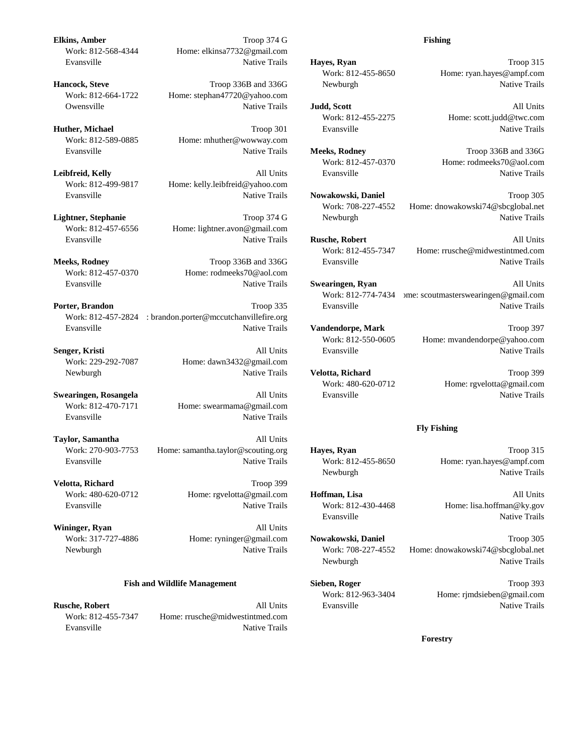Work: 812-457-2824 : brandon.porter@mccutchanvillefire.org Evansville Native Trails **Vandendorpe, Mark** Troop 397

# **Elkins, Amber Fishing Fishing Fishing Fishing Fishing Fishing Fishing** Work: 812-568-4344 Home: elkinsa7732@gmail.com

Work: 812-664-1722 Home: stephan47720@yahoo.com **Owensville** All Units **Native Trails Judd, Scott All Units All Units** 

**Huther, Michael** Native Trails **Troop 301** Evansville Evansville Native Trails Work: 812-589-0885 Home: mhuther@wowway.com Evansville Native Trails **Meeks, Rodney** Troop 336B and 336G

**Leibfreid, Kelly** Native Trails All Units Evansville Native Trails Native Trails Work: 812-499-9817 Home: kelly.leibfreid@yahoo.com

Work: 812-457-6556 Home: lightner.avon@gmail.com

Work: 812-457-0370 Home: rodmeeks70@aol.com

Work: 229-292-7087 Home: dawn3432@gmail.com Newburgh Native Trails **Velotta, Richard** Troop 399

**Swearingen, Rosangela** All Units Evansville **Example 2018** Native Trails Native Trails Work: 812-470-7171 Home: swearmama@gmail.com Evansville Native Trails

**Taylor, Samantha** All Units Work: 270-903-7753 Home: samantha.taylor@scouting.org **Hayes, Ryan** Troop 315 Evansville Native Trails Work: 812-455-8650 Home: ryan.hayes@ampf.com

**Velotta, Richard** Troop 399 Work: 480-620-0712 Home: rgvelotta@gmail.com **Hoffman, Lisa** All Units Evansville Native Trails Work: 812-430-4468 Home: lisa.hoffman@ky.gov

**Wininger, Ryan** All Units

Work: 812-455-7347 Home: rrusche@midwestintmed.com Evansville Native Trails

Evansville **Native Trails Hayes, Ryan** Troop 315 Work: 812-455-8650 Home: ryan.hayes@ampf.com **Hancock, Steve** Troop 336B and 336G Newburgh Native Trails

Work: 812-455-2275 Home: scott.judd@twc.com

Work: 812-457-0370 Home: rodmeeks70@aol.com

Evansville Native Trails **Nowakowski, Daniel** Troop 305 Work: 708-227-4552 Home: dnowakowski74@sbcglobal.net **Lightner, Stephanie** Troop 374 G Newburgh Native Trails

Evansville Native Trails **Rusche, Robert** All Units Work: 812-455-7347 Home: rrusche@midwestintmed.com **Meeks, Rodney** Troop 336B and 336G Evansville Native Trails

Evansville Native Trails **Swearingen, Ryan** All Units Work: 812-774-7434 > me: scoutmasterswearingen@gmail.com **Porter, Brandon** Native Trails **Prophetics COVID-12** Evansville Native Trails Native Trails

Work: 812-550-0605 Home: mvandendorpe@yahoo.com **Senger, Kristi** Native Trails All Units Evansville Native Trails Native Trails Native Trails

Work: 480-620-0712 Home: rgvelotta@gmail.com

### **Fly Fishing**

Newburgh Native Trails

Evansville Native Trails

Work: 317-727-4886 Home: ryninger@gmail.com **Nowakowski, Daniel** Troop 305 Newburgh Native Trails Work: 708-227-4552 Home: dnowakowski74@sbcglobal.net Newburgh Native Trails

**Fish and Wildlife Management Sieben, Roger Similar Sieben, Roger** Troop 393 Work: 812-963-3404 Home: rjmdsieben@gmail.com **Rusche, Robert** Native Trails **All Units** Evansville **Example 2018** 2018 12:30 Native Trails

**Forestry**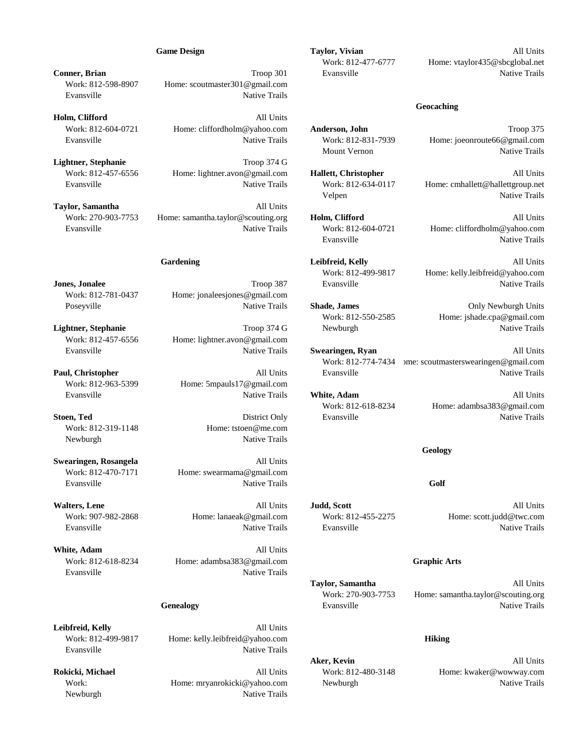**Conner, Brian** Native Trails **Conner, Brian** Native Trails **Native Trails** 1 **Conner**, **Primary 1 Native Trails** 1 **Conner**, **Brian** Native Trails 1 **Conner**, **Brian** 1 **Conner**, **Brian** 1 **Conner**, **Brian** 1 **Conner**, Work: 812-598-8907 Home: scoutmaster301@gmail.com Evansville Native Trails

**Holm, Clifford** All Units Work: 812-604-0721 Home: cliffordholm@yahoo.com **Anderson, John** Troop 375 Evansville Native Trails Work: 812-831-7939 Home: joeonroute66@gmail.com

Lightner, Stephanie Troop 374 G Work: 812-457-6556 Home: lightner.avon@gmail.com **Hallett, Christopher** All Units Evansville Native Trails Work: 812-634-0117 Home: cmhallett@hallettgroup.net

Taylor, Samantha All Units Work: 270-903-7753 Home: samantha.taylor@scouting.org **Holm, Clifford** All Units Evansville Native Trails Work: 812-604-0721 Home: cliffordholm@yahoo.com

**Jones, Jonalee** Native Trails **Trails** Troop 387 **Evansville** Evansville Native Trails Work: 812-781-0437 Home: jonaleesjones@gmail.com Poseyville **Native Trails Shade, James** Only Newburgh Units **Poseyville** 

**Lightner, Stephanie** Troop 374 G Newburgh Native Trails Work: 812-457-6556 Home: lightner.avon@gmail.com

Work: 812-963-5399 Home: 5mpauls17@gmail.com

Work: 812-319-1148 Home: tstoen@me.com Newburgh Native Trails

**Swearingen, Rosangela** All Units Work: 812-470-7171 Home: swearmama@gmail.com Evansville **Golf Golf Golf Native Trails Golf Golf** 

Work: 907-982-2868 Home: lanaeak@gmail.com Work: 812-455-2275 Home: scott.judd@twc.com Evansville Native Trails Evansville Native Trails

**White, Adam** All Units Work: 812-618-8234 Home: adambsa383@gmail.com **Graphic Arts** Evansville Native Trails

**Leibfreid, Kelly** All Units Work: 812-499-9817 Home: kelly.leibfreid@yahoo.com **Hiking**

Evansville Native Trails

Newburgh Native Trails

**Game Design Came Community Community Community Community Community Community Community Community Community Community Community Community Community Community Community Community Community Community Community Community Comm** Work: 812-477-6777 Home: vtaylor435@sbcglobal.net

### **Geocaching**

Mount Vernon Native Trails

Velpen Native Trails

Evansville Native Trails

**Gardening Leibfreid, Kelly Leibfreid, Kelly All Units** Work: 812-499-9817 Home: kelly.leibfreid@yahoo.com

Work: 812-550-2585 Home: jshade.cpa@gmail.com

Evansville Native Trails **Swearingen, Ryan** All Units Work: 812-774-7434 > me: scoutmasterswearingen@gmail.com **Paul, Christopher All Units** Evansville **Example 2018 Native Trails** Native Trails

Evansville **Native Trails White, Adam All Units All Units All Units** Work: 812-618-8234 Home: adambsa383@gmail.com **Stoen, Ted** Native Trails **District Only** Evansville **Native Trails** Native Trails

### **Geology**

**Walters, Lene** All Units **Judd, Scott** All Units

**Taylor, Samantha** All Units Work: 270-903-7753 Home: samantha.taylor@scouting.org **Genealogy** Evansville Evansville Native Trails

**Aker, Kevin All Units Rokicki, Michael All Units** Work: 812-480-3148 Home: kwaker@wowway.com Work: Home: mryanrokicki@yahoo.com Newburgh News and Native Trails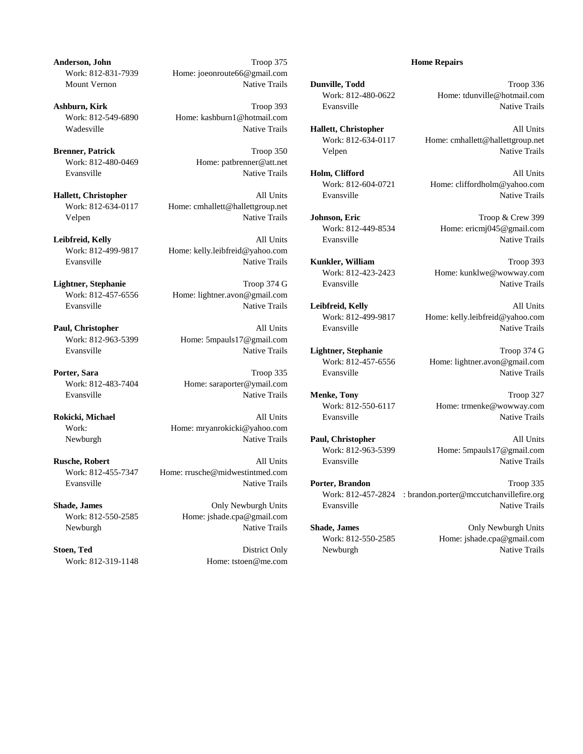**Anderson, John Home Repairs Home Repairs Home Repairs** Work: 812-831-7939 Home: joeonroute66@gmail.com Mount Vernon **Native Trails Dunville, Todd Trails Company 12.1** Troop 336

Work: 812-549-6890 Home: kashburn1@hotmail.com Wadesville **Native Trails Hallett, Christopher All Units** All Units

Work: 812-480-0469 Home: patbrenner@att.net

Work: 812-634-0117 Home: cmhallett@hallettgroup.net Velpen Native Trails **Johnson, Eric** Troop & Crew 399

**Leibfreid, Kelly All Units** Evansville **Constanting Constanting Constanting Constanting Constanting Native Trails** Work: 812-499-9817 Home: kelly.leibfreid@yahoo.com Evansville Native Trails **Kunkler, William** Troop 393

Work: 812-457-6556 Home: lightner.avon@gmail.com Evansville Native Trails **Leibfreid, Kelly** All Units

Work: 812-963-5399 Home: 5mpauls17@gmail.com

Work: 812-483-7404 Home: saraporter@ymail.com

Work: Home: mryanrokicki@yahoo.com Newburgh Native Trails **Paul, Christopher** All Units

**Rusche, Robert All Units** Evansville **Example 2018 All Units** Evansville **Example 2018 Native Trails** Work: 812-455-7347 Home: rrusche@midwestintmed.com

Work: 812-550-2585 Home: jshade.cpa@gmail.com Newburgh Native Trails **Shade, James** Only Newburgh Units

Work: 812-319-1148 Home: tstoen@me.com

Evansville Native Trails **Porter, Brandon** Troop 335 Work: 812-457-2824 : brandon.porter@mccutchanvillefire.org **Shade, James Only Newburgh Units** Evansville **Example 2016** 2016 12:31 Native Trails

Work: 812-480-0622 Home: tdunville@hotmail.com **Ashburn, Kirk** Native Trails **Troop 393** Evansville Native Trails Native Trails Native Trails

Work: 812-634-0117 Home: cmhallett@hallettgroup.net **Brenner, Patrick** Native Trails **Troop 350** Velpen Native Trails Native Trails

Evansville Native Trails **Holm, Clifford** All Units Work: 812-604-0721 Home: cliffordholm@yahoo.com **Hallett, Christopher All Units** Evansville **Example 2018 All Units** Evansville **Example 2018 Native Trails** 

Work: 812-449-8534 Home: ericmj045@gmail.com

Work: 812-423-2423 Home: kunklwe@wowway.com **Lightner, Stephanie** Troop 374 G Evansville Native Trails

Work: 812-499-9817 Home: kelly.leibfreid@yahoo.com **Paul, Christopher All Units** Evansville **Example 2018 All Units** Evansville **Example 2018 Native Trails** 

Evansville Native Trails **Lightner, Stephanie** Troop 374 G Work: 812-457-6556 Home: lightner.avon@gmail.com **Porter, Sara** Native Trails **Porter, Sara** Native Trails Native Trails **Properties** Native Trails Native Trails Native Trails

Evansville **Native Trails Menke, Tony** Troop 327 Work: 812-550-6117 Home: trmenke@wowway.com **Rokicki, Michael** Native Trails **All Units** Evansville **Native Trails** Native Trails

Work: 812-963-5399 Home: 5mpauls17@gmail.com

Work: 812-550-2585 Home: jshade.cpa@gmail.com **Stoen, Ted** Native Trails **District Only** Newburgh News News Native Trails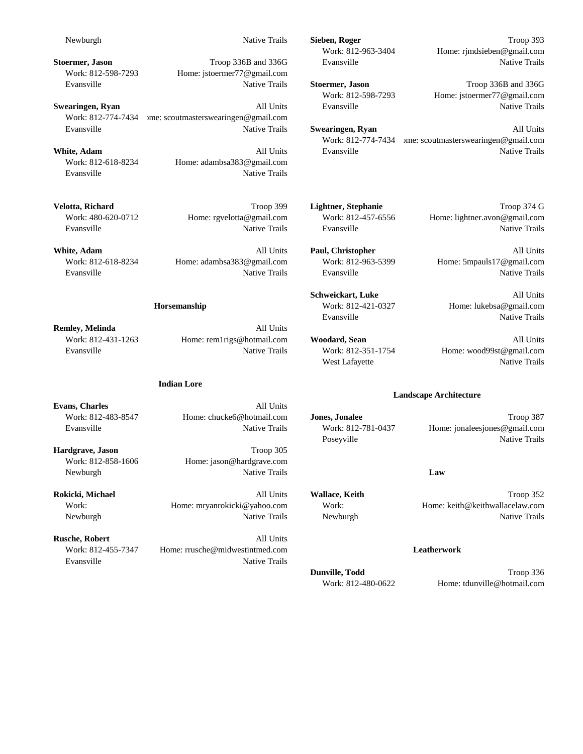Work: 812-598-7293 Home: jstoermer77@gmail.com

**Swearingen, Ryan** All Units Evansville Evansville Native Trails Work: 812-774-7434 > me: scoutmasterswearingen@gmail.com Evansville Native Trails **Swearingen, Ryan** All Units

Work: 812-618-8234 Home: adambsa383@gmail.com Evansville Native Trails

**Remley, Melinda** All Units Work: 812-431-1263 Home: rem1rigs@hotmail.com **Woodard, Sean** All Units Evansville Native Trails Work: 812-351-1754 Home: wood99st@gmail.com

### **Indian Lore**

**Evans, Charles** All Units Work: 812-483-8547 Home: chucke6@hotmail.com **Jones, Jonalee** Troop 387 Evansville Native Trails Work: 812-781-0437 Home: jonaleesjones@gmail.com

**Hardgrave, Jason** Troop 305 Work: 812-858-1606 Home: jason@hardgrave.com Newburgh Native Trails **Law**

**Rokicki, Michael Troop 352** All Units **Wallace, Keith** Troop 352 Work: Home: mryanrokicki@yahoo.com Work: Home: keith@keithwallacelaw.com Newburgh Native Trails Newburgh Native Trails

**Rusche, Robert** All Units Work: 812-455-7347 Home: rrusche@midwestintmed.com **Leatherwork** Evansville Native Trails

Newburgh Native Trails **Sieben, Roger** Troop 393 Work: 812-963-3404 Home: rjmdsieben@gmail.com **Stoermer, Jason** Troop 336B and 336G Evansville Native Trails

Evansville Native Trails **Stoermer, Jason** Troop 336B and 336G Work: 812-598-7293 Home: jstoermer77@gmail.com

Work: 812-774-7434 me: scoutmasterswearingen@gmail.com **White, Adam** Native Trails **All Units** Evansville **Example 2018** Native Trails

**Velotta, Richard** Troop 399 **Lightner, Stephanie** Troop 374 G Work: 480-620-0712 Home: rgvelotta@gmail.com Work: 812-457-6556 Home: lightner.avon@gmail.com Evansville Native Trails Evansville Native Trails

**White, Adam** All Units **Paul, Christopher** All Units **Paul, Adam** All Units **Paul, Christopher** All Units **All Units** Work: 812-618-8234 Home: adambsa383@gmail.com Work: 812-963-5399 Home: 5mpauls17@gmail.com Evansville Native Trails Evansville Native Trails

> **Schweickart, Luke** All Units **Horsemanship** Work: 812-421-0327 Home: lukebsa@gmail.com Evansville Native Trails

> > West Lafayette Native Trails

### **Landscape Architecture**

Poseyville Native Trails

**Dunville, Todd** Troop 336 Work: 812-480-0622 Home: tdunville@hotmail.com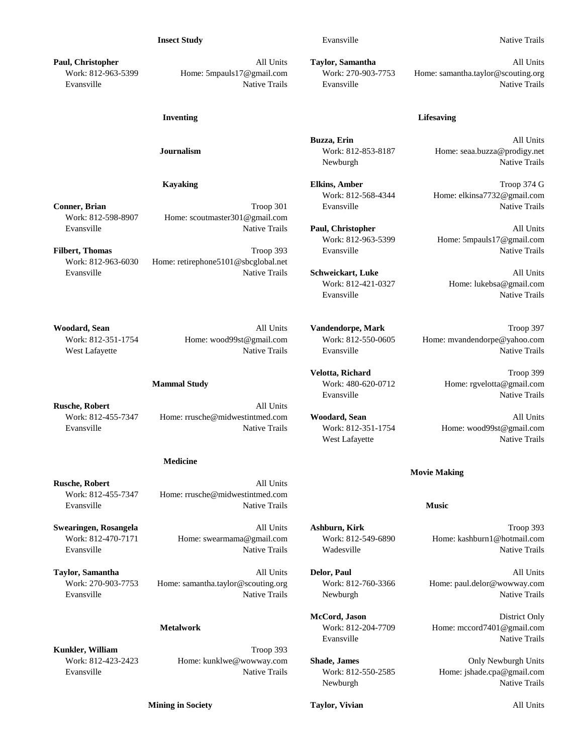### **Insect Study Evansville** Evansville **Native Trails** Native Trails

**Paul, Christopher** All Units **Taylor, Samantha** All Units Work: 812-963-5399 Home: 5mpauls17@gmail.com Work: 270-903-7753 Home: samantha.taylor@scouting.org<br>Evansville Native Trails Evansville Native Trails Evansville Native Trails Evansville Native Trails

Work: 812-598-8907 Home: scoutmaster301@gmail.com

Work: 812-963-6030 Home: retirephone5101@sbcglobal.net Evansville Native Trails **Schweickart, Luke** All Units

**Rusche, Robert All Units** Work: 812-455-7347 Home: rrusche@midwestintmed.com **Woodard, Sean** All Units Evansville Native Trails Work: 812-351-1754 Home: wood99st@gmail.com

### **Medicine**

### **Rusche, Robert** All Units Work: 812-455-7347 Home: rrusche@midwestintmed.com Evansville Native Trails **Music**

Work: 812-470-7171 Home: swearmama@gmail.com Work: 812-549-6890 Home: kashburn1@hotmail.com

**Taylor, Samantha** All Units **Delor, Paul** All Units Work: 270-903-7753 Home: samantha.taylor@scouting.org Work: 812-760-3366 Home: paul.delor@wowway.com Evansville Native Trails Newburgh Native Trails

**Kunkler, William Troop 393** Work: 812-423-2423 Home: kunklwe@wowway.com **Shade, James** Only Newburgh Units Evansville Native Trails Work: 812-550-2585 Home: jshade.cpa@gmail.com

**Mining in Society Taylor, Vivian Taylor, Vivian All Units** 

### **Inventing Lifesaving**

**Buzza, Erin** All Units **Journalism** Work: 812-853-8187 Home: seaa.buzza@prodigy.net

**Kayaking Elkins, Amber Elkins, Amber Elkins, Amber Troop 374 G** 

Newburgh Native Trails

Work: 812-568-4344 Home: elkinsa7732@gmail.com **Conner, Brian** Native Trails **Conner, Brian** Native Trails **Native Trails** 1 **Conner**, **Primary 1 Native Trails** 1 **Conner**, **Brian** Native Trails 1 **Conner**, **Brian** 1 **Conner**, **Brian** 1 **Conner**, **Brian** 1 **Conner**,

Evansville Native Trails **Paul, Christopher** All Units Work: 812-963-5399 Home: 5mpauls17@gmail.com **Filbert, Thomas** Native Trails (Native Trails Active Trails Active Trails Active Trails Active Trails Active Trails Active Trails Active Trails Active Trails Active Trails Active Trails Active Trails Active Trails Active

> Work: 812-421-0327 Home: lukebsa@gmail.com Evansville Native Trails

**Woodard, Sean** Troop 397 All Units **Vandendorpe, Mark** Troop 397 Work: 812-351-1754 Home: wood99st@gmail.com Work: 812-550-0605 Home: mvandendorpe@yahoo.com West Lafayette **Native Trails** Evansville **Native Trails** Native Trails Native Trails

> **Velotta, Richard** Troop 399 **Mammal Study** Work: 480-620-0712 Home: rgvelotta@gmail.com Evansville Native Trails

> > West Lafayette Native Trails

### **Movie Making**

**Swearingen, Rosangela All Units Ashburn, Kirk Ashburn, Kirk Troop 393** Evansville Native Trails Wadesville Native Trails

**McCord, Jason** District Only **Metalwork Work: 812-204-7709** Home: mccord7401@gmail.com Evansville Native Trails

Newburgh Native Trails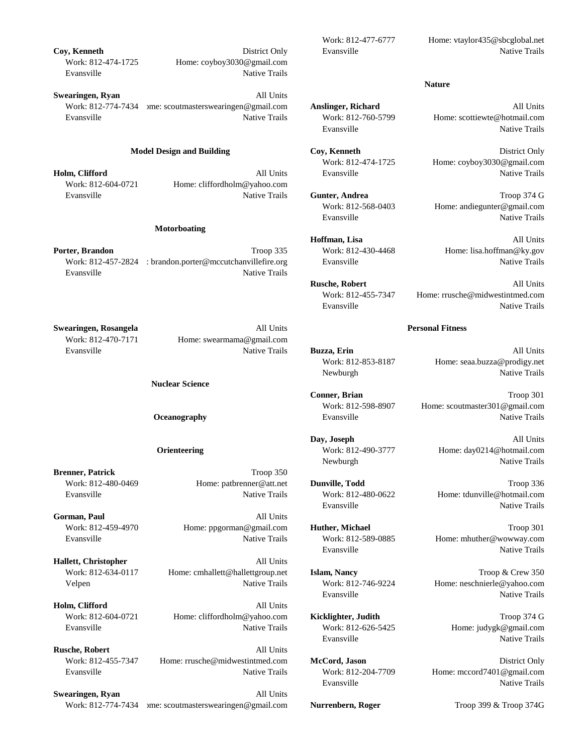Work: 812-474-1725 Home: coyboy3030@gmail.com Evansville Native Trails

**Swearingen, Ryan** All Units Work: 812-774-7434 me: scoutmasterswearingen@gmail.com **Anslinger, Richard** All Units Evansville Native Trails Work: 812-760-5799 Home: scottiewte@hotmail.com

### **Model Design and Building The Coy, Kenneth District Only District Only District Only District Only District Only**

**Holm, Clifford** Native Trails **All Units** Evansville **Constanting Clifford** Native Trails Work: 812-604-0721 Home: cliffordholm@yahoo.com Evansville Native Trails **Gunter, Andrea** Troop 374 G

### **Motorboating**

**Porter, Brandon** Troop 335 Work: 812-430-4468 Home: lisa.hoffman@ky.gov Work: 812-457-2824 : brandon.porter@mccutchanvillefire.org Evansville Native Trails Evansville Native Trails

**Swearingen, Rosangela Personal Fitness All Units Personal Fitness** Work: 812-470-7171 Home: swearmama@gmail.com Evansville **Native Trails Buzza, Erin All Units All Units All Units** 

**Nuclear Science**

**Brenner, Patrick** Troop 350

**Gorman, Paul All Units** 

**Hallett, Christopher** All Units

**Holm, Clifford All Units** 

**Rusche, Robert** All Units

**Swearingen, Ryan** All Units Work: 812-774-7434 me: scoutmasterswearingen@gmail.com **Nurrenbern, Roger** Troop 399 & Troop 374G

Work: 812-477-6777 Home: vtaylor435@sbcglobal.net **Coy, Kenneth District Only Evansville District Only Consumers District Only Consumers Evansville Native Trails** 

### **Nature**

Evansville Native Trails

Work: 812-474-1725 Home: coyboy3030@gmail.com

Work: 812-568-0403 Home: andiegunter@gmail.com Evansville Native Trails

**Hoffman, Lisa** All Units

Work: 812-455-7347 Home: rrusche@midwestintmed.com Evansville Native Trails

**Rusche, Robert** All Units

Work: 812-853-8187 Home: seaa.buzza@prodigy.net Newburgh Native Trails

**Conner, Brian** Troop 301 Work: 812-598-8907 Home: scoutmaster301@gmail.com **Oceanography** Evansville Evansville Native Trails

**Day, Joseph** All Units **Orienteering** Work: 812-490-3777 Home: day0214@hotmail.com Newburgh Native Trails

Work: 812-480-0469 **Home: patbrenner@att.net Dunville, Todd** Troop 336 Evansville Native Trails Work: 812-480-0622 Home: tdunville@hotmail.com Evansville Native Trails

Work: 812-459-4970 **Home:** ppgorman@gmail.com **Huther, Michael** Troop 301 Evansville Native Trails Work: 812-589-0885 Home: mhuther@wowway.com Evansville Native Trails

Work: 812-634-0117 Home: cmhallett@hallettgroup.net **Islam, Nancy** Troop & Crew 350 Velpen Native Trails Work: 812-746-9224 Home: neschnierle@yahoo.com Evansville Native Trails

Work: 812-604-0721 Home: cliffordholm@yahoo.com **Kicklighter, Judith** Troop 374 G Evansville Native Trails Work: 812-626-5425 Home: judygk@gmail.com Evansville Native Trails

Work: 812-455-7347 Home: rrusche@midwestintmed.com **McCord, Jason** District Only Evansville Native Trails Work: 812-204-7709 Home: mccord7401@gmail.com Evansville Native Trails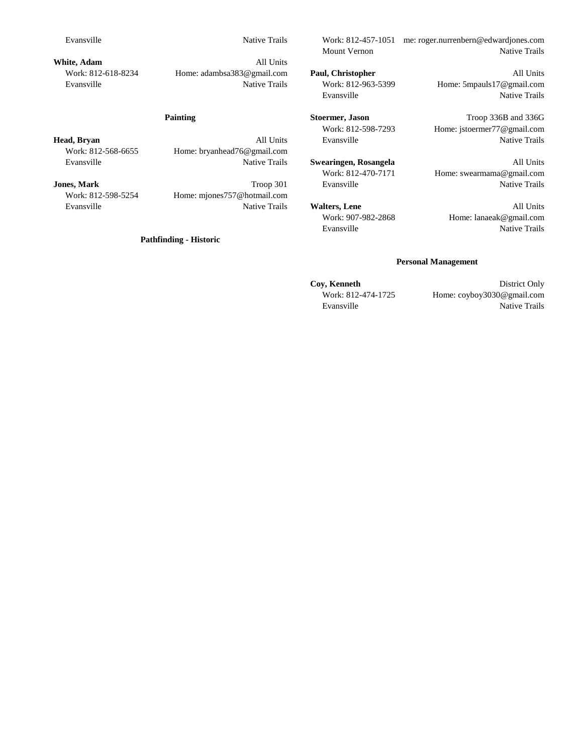**White, Adam** All Units Work: 812-618-8234 Home: adambsa383@gmail.com **Paul, Christopher** All Units Evansville Native Trails Work: 812-963-5399 Home: 5mpauls17@gmail.com

**Head, Bryan** Native Trails **All Units** Evansville **Example 2018** Native Trails Native Trails Work: 812-568-6655 Home: bryanhead76@gmail.com Evansville Native Trails **Swearingen, Rosangela** All Units

**Jones, Mark** Native Trails **Troop 301** Evansville Evansville Native Trails Work: 812-598-5254 Home: mjones757@hotmail.com Evansville **Native Trails Walters, Lene All Units All Units All Units** 

### **Pathfinding - Historic**

Evansville Native Trails Work: 812-457-1051 me: roger.nurrenbern@edwardjones.com Mount Vernon Native Trails

Evansville Native Trails

**Painting Stoermer, Jason** Troop 336B and 336G Work: 812-598-7293 Home: jstoermer77@gmail.com

Work: 812-470-7171 Home: swearmama@gmail.com

Work: 907-982-2868 Home: lanaeak@gmail.com Evansville Native Trails

### **Personal Management**

**Coy, Kenneth** District Only Work: 812-474-1725 Home: coyboy3030@gmail.com Evansville Native Trails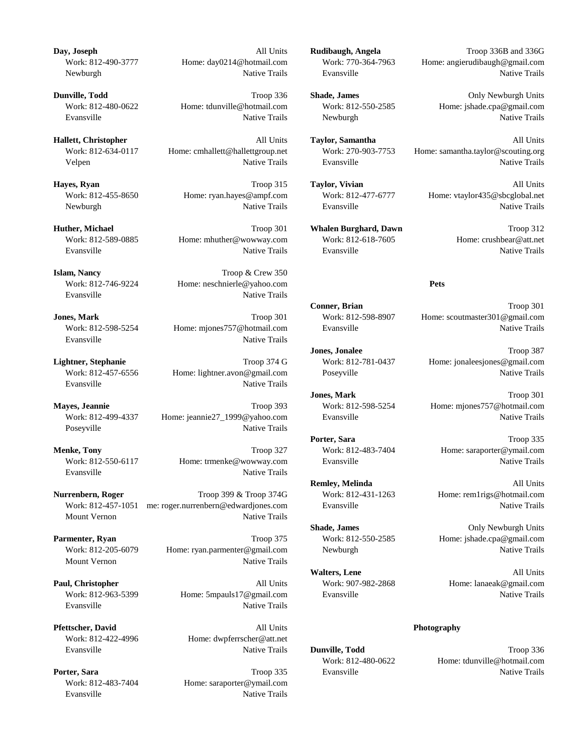Work: 812-589-0885 Home: mhuther@wowway.com Work: 812-618-7605 Home: crushbear@att.net Evansville Native Trails Evansville Native Trails

**Islam, Nancy** Troop & Crew 350 Work: 812-746-9224 Home: neschnierle@yahoo.com **Pets** Evansville Native Trails

Evansville Native Trails

Evansville Native Trails

**Mayes, Jeannie** Troop 393 Work: 812-598-5254 Home: mjones757@hotmail.com Work: 812-499-4337 Home: jeannie27\_1999@yahoo.com Evansville Evansville Native Trails Poseyville Native Trails

Work: 812-550-6117 Home: trmenke@wowway.com Evansville **Evansville** Native Trails Evansville Native Trails

**Nurrenbern, Roger** Troop 399 & Troop 374G Work: 812-431-1263 Home: rem1rigs@hotmail.com Work: 812-457-1051 me: roger.nurrenbern@edwardjones.com Evansville Native Trails Mount Vernon Native Trails

**Parmenter, Ryan** Troop 375 Work: 812-550-2585 Home: jshade.cpa@gmail.com Work: 812-205-6079 Home: ryan.parmenter@gmail.com Newburgh Newton News Native Trails Mount Vernon Native Trails

**Paul, Christopher All Units** Work: 907-982-2868 Home: lanaeak@gmail.com Work: 812-963-5399 Home: 5mpauls17@gmail.com Evansville Native Trails Evansville Native Trails

**Pfettscher, David** All Units **Photography** Work: 812-422-4996 Home: dwpferrscher@att.net Evansville **Native Trails Dunville, Todd** Troop 336

Work: 812-483-7404 Home: saraporter@ymail.com Evansville Native Trails

**Day, Joseph All Units Rudibaugh, Angela All Units Rudibaugh, Angela Troop 336B** and 336G Work: 812-490-3777 Home: day0214@hotmail.com Work: 770-364-7963 Home: angierudibaugh@gmail.com Newburgh Native Trails Evansville Native Trails

**Dunville, Todd** Troop 336 **Shade, James** Only Newburgh Units Work: 812-480-0622 Home: tdunville@hotmail.com Work: 812-550-2585 Home: jshade.cpa@gmail.com Evansville Native Trails Newburgh Native Trails

**Hallett, Christopher** All Units **Taylor, Samantha** All Units Work: 812-634-0117 Home: cmhallett@hallettgroup.net Work: 270-903-7753 Home: samantha.taylor@scouting.org Velpen 1988 Matter Trails Evansville Native Trails Evansville Native Trails Native Trails

**Hayes, Ryan** All Units **Troop 315 <b>Taylor, Vivian** All Units **All Units** All Units Work: 812-455-8650 Home: ryan.hayes@ampf.com Work: 812-477-6777 Home: vtaylor435@sbcglobal.net Newburgh Native Trails Evansville Native Trails

**Huther, Michael** Troop 301 **Whalen Burghard, Dawn** Troop 312

**Conner, Brian** Troop 301 **Jones, Mark Troop 301** Work: 812-598-8907 Home: scoutmaster301@gmail.com Work: 812-598-5254 Home: mjones757@hotmail.com Evansville Native Trails Native Trails

**Jones, Jonalee** Troop 387 **Lightner, Stephanie** Troop 374 G Work: 812-781-0437 Home: jonaleesjones@gmail.com Work: 812-457-6556 Home: lightner.avon@gmail.com Poseyville Provesses and Native Trails

**Jones, Mark** Troop 301

**Porter, Sara** Troop 335 **Menke, Tony** Troop 327 Work: 812-483-7404 Home: saraporter@ymail.com

**Remley, Melinda** All Units

**Shade, James** Only Newburgh Units

**Walters, Lene** All Units

Work: 812-480-0622 Home: tdunville@hotmail.com **Porter, Sara** Native Trails **Porter, Sara** Native Trails Native Trails **Properties** Native Trails Native Trails Native Trails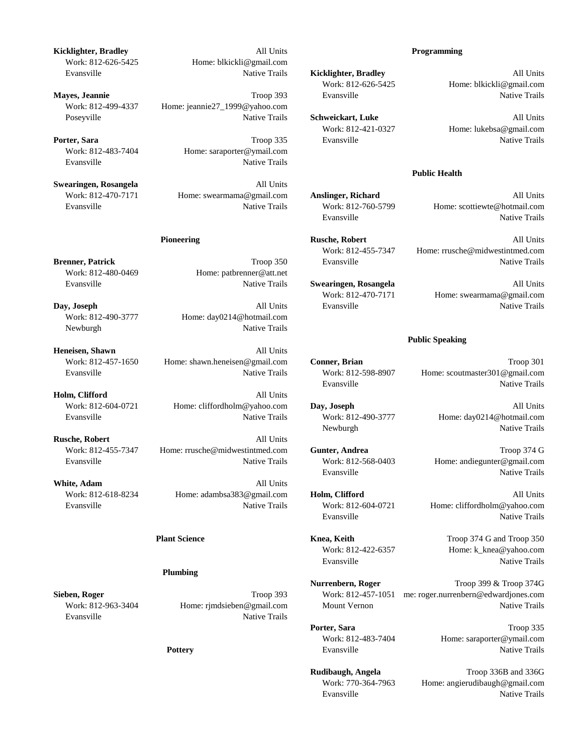**Kicklighter, Bradley <b>Programming** All Units **Programming Programming** Work: 812-626-5425 Home: blkickli@gmail.com

Work: 812-499-4337 Home: jeannie27\_1999@yahoo.com

Work: 812-483-7404 Home: saraporter@ymail.com Evansville Native Trails

**Swearingen, Rosangela** All Units

Work: 812-480-0469 Home: patbrenner@att.net Evansville Native Trails **Swearingen, Rosangela** All Units

Work: 812-490-3777 Home: day0214@hotmail.com Newburgh Native Trails

**Heneisen, Shawn** All Units Work: 812-457-1650 Home: shawn.heneisen@gmail.com Conner, Brian Troop 301

**Holm, Clifford All Units** Work: 812-604-0721 Home: cliffordholm@yahoo.com **Day, Joseph** All Units Evansville Native Trails Work: 812-490-3777 Home: day0214@hotmail.com

**Rusche, Robert** All Units Work: 812-455-7347 Home: rrusche@midwestintmed.com **Gunter, Andrea** Troop 374 G Evansville Native Trails Work: 812-568-0403 Home: andiegunter@gmail.com

**White, Adam** All Units Work: 812-618-8234 Home: adambsa383@gmail.com **Holm, Clifford** All Units Evansville Native Trails Work: 812-604-0721 Home: cliffordholm@yahoo.com

### **Plumbing**

Evansville Native Trails

Evansville Native Trails **Kicklighter, Bradley** All Units

Poseyville Native Trails **Schweickart, Luke** All Units

**Public Health**

Work: 812-470-7171 Home: swearmama@gmail.com **Anslinger, Richard** All Units Evansville Native Trails Work: 812-760-5799 Home: scottiewte@hotmail.com Evansville Native Trails

**Pioneering Rusche, Robert All Units All Units All Units All Units All Units All Units All Units All Units All Units All Units All Units All Units All Units All Units All Units All Units All Units All Units All Units All U** Work: 812-455-7347 Home: rrusche@midwestintmed.com **Brenner, Patrick** Native Trails (Native Trails 1995) Troop 350 Evansville Native Trails Native Trails Native Trails

Work: 812-470-7171 Home: swearmama@gmail.com **Day, Joseph** Native Trails All Units Evansville Native Trails Native Trails Native Trails

### **Public Speaking**

Work: 812-626-5425 Home: blkickli@gmail.com **Mayes, Jeannie** Native Trails **Troop 393** Evansville Native Trails Native Trails Native Trails

Work: 812-421-0327 Home: lukebsa@gmail.com **Porter, Sara** Native Trails **Porter, Sara** Native Trails Native Trails **Properties** Native Trails Native Trails Native Trails

Evansville Native Trails Work: 812-598-8907 Home: scoutmaster301@gmail.com Evansville Native Trails

Newburgh **Native Trails** 

Evansville Native Trails

Evansville Native Trails

**Plant Science Knea, Keith Knea, Keith Troop 374 G and Troop 350** Work: 812-422-6357 Home: k\_knea@yahoo.com Evansville Native Trails

**Nurrenbern, Roger** Troop 399 & Troop 374G **Sieben, Roger** Troop 393 Work: 812-457-1051 me: roger.nurrenbern@edwardjones.com Work: 812-963-3404 Home: rjmdsieben@gmail.com Mount Vernon Native Trails

> **Porter, Sara** Troop 335 Work: 812-483-7404 Home: saraporter@ymail.com **Pottery** Evansville **Example 2018** Native Trails

> > **Rudibaugh, Angela** Troop 336B and 336G Work: 770-364-7963 Home: angierudibaugh@gmail.com Evansville Native Trails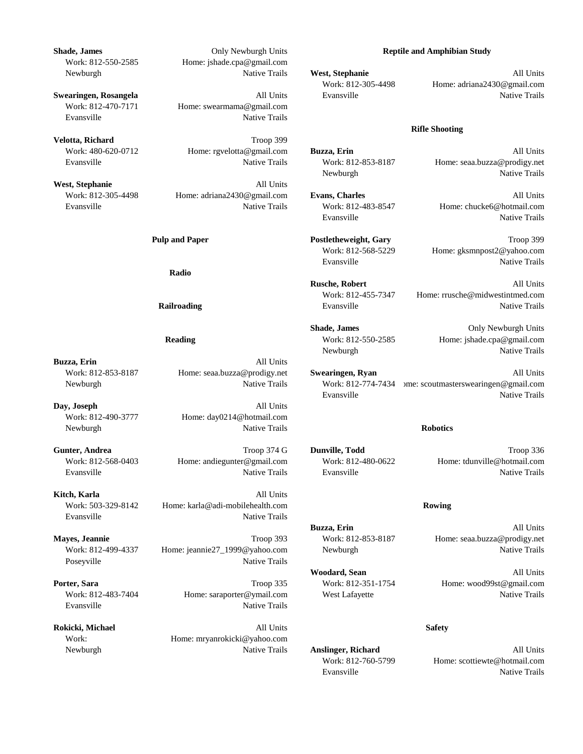**Radio**

**Buzza, Erin** All Units

Work: 812-550-2585 Home: jshade.cpa@gmail.com Newburgh Native Trails **West, Stephanie** All Units

Work: 812-470-7171 Home: swearmama@gmail.com Evansville Native Trails

**Velotta, Richard** Troop 399 Work: 480-620-0712 Home: rgvelotta@gmail.com **Buzza, Erin** All Units Evansville Native Trails Work: 812-853-8187 Home: seaa.buzza@prodigy.net

West, Stephanie **All Units** Work: 812-305-4498 Home: adriana2430@gmail.com **Evans, Charles** All Units Evansville Native Trails Work: 812-483-8547 Home: chucke6@hotmail.com

**Day, Joseph** All Units Work: 812-490-3777 Home: day0214@hotmail.com Newburgh **Native Trails Robotics Robotics Robotics** 

Work: 812-568-0403 Home: andiegunter@gmail.com Work: 812-480-0622 Home: tdunville@hotmail.com Evansville Native Trails Evansville Native Trails

Kitch, Karla **All Units** Work: 503-329-8142 Home: karla@adi-mobilehealth.com **Rowing** Evansville Native Trails

**Mayes, Jeannie** Troop 393 Work: 812-853-8187 Home: seaa.buzza@prodigy.net Work: 812-499-4337 Home: jeannie27\_1999@yahoo.com Newburgh News Home: Native Trails Poseyville Native Trails

Evansville Native Trails

**Rokicki, Michael** All Units **Safety** Work: Home: mryanrokicki@yahoo.com Newburgh Native Trails **Anslinger, Richard** All Units

### **Shade, James Only Newburgh Units <b>Reptile and Amphibian Study Reptile and Amphibian Study**

Work: 812-305-4498 Home: adriana2430@gmail.com **Swearingen, Rosangela** All Units Evansville **Example 2018** Native Trails Native Trails

### **Rifle Shooting**

Newburgh Native Trails

Evansville Native Trails

**Pulp and Paper Postletheweight, Gary Property 1999 Property Property Property Property Property Property Property Property Property Property Property Property Property Property Property** Work: 812-568-5229 Home: gksmnpost2@yahoo.com Evansville Native Trails

**Rusche, Robert** All Units Work: 812-455-7347 Home: rrusche@midwestintmed.com **Railroading** Native Trails **Constanting Evansville** Native Trails Native Trails

**Shade, James** Only Newburgh Units **Reading** Work: 812-550-2585 Home: jshade.cpa@gmail.com Newburgh Native Trails

Work: 812-853-8187 Home: seaa.buzza@prodigy.net **Swearingen, Ryan** All Units Newburgh Native Trails Work: 812-774-7434 me: scoutmasterswearingen@gmail.com Evansville Native Trails

**Gunter, Andrea** Troop 374 G **Dunville, Todd** Troop 336

**Buzza, Erin** All Units

Woodard, Sean All Units **Porter, Sara** Troop 335 Work: 812-351-1754 Home: wood99st@gmail.com Work: 812-483-7404 Home: saraporter@ymail.com West Lafayette News 12-483-7404 Native Trails

Work: 812-760-5799 Home: scottiewte@hotmail.com Evansville Native Trails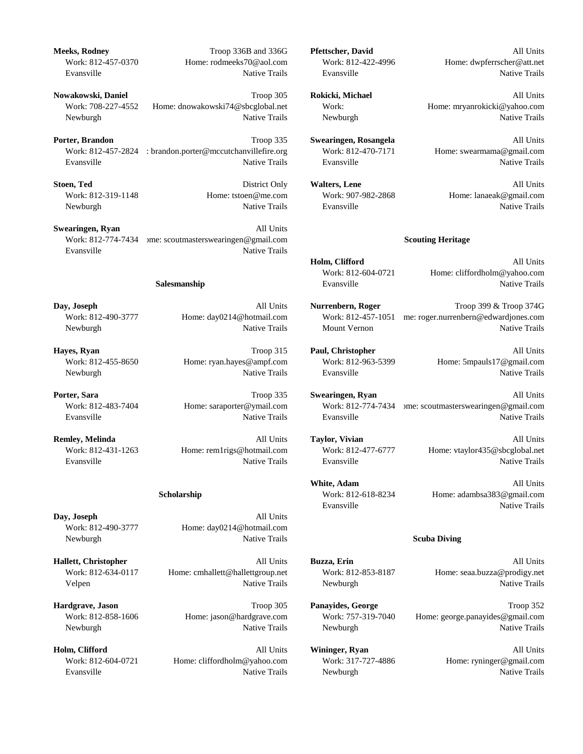**Porter, Brandon Community 2018 Community 2018 Swearingen, Rosangela** All Units Work: 812-457-2824 : brandon.porter@mccutchanvillefire.org Work: 812-470-7171 Home: swearmama@gmail.com Evansville Native Trails Evansville Native Trails

**Swearingen, Ryan** All Units Work: 812-774-7434 me: scoutmasterswearingen@gmail.com **Scouting Heritage** Evansville Native Trails

**Meeks, Rodney** Troop 336B and 336G **Pfettscher, David** All Units

**Nowakowski, Daniel** Troop 305 **Rokicki, Michael** All Units Work: 708-227-4552 Home: dnowakowski74@sbcglobal.net Work: Home: mryanrokicki@yahoo.com Newburgh Native Trails Newburgh Native Trails

**Hayes, Ryan All Units Paul, Christopher Paul, Christopher All Units All Units** Work: 812-455-8650 Home: ryan.hayes@ampf.com Work: 812-963-5399 Home: 5mpauls17@gmail.com Newburgh Native Trails Evansville Native Trails

**Remley, Melinda** All Units **Taylor, Vivian** All Units Work: 812-431-1263 Home: rem1rigs@hotmail.com Work: 812-477-6777 Home: vtaylor435@sbcglobal.net Evansville Native Trails Evansville Native Trails

**Day, Joseph** All Units Work: 812-490-3777 Home: day0214@hotmail.com Newburgh Native Trails **Scuba Diving**

**Hallett, Christopher** All Units **Buzza, Erin** All Units Work: 812-634-0117 Home: cmhallett@hallettgroup.net Work: 812-853-8187 Home: seaa.buzza@prodigy.net Velpen 1988 Matter Trails Newburgh Native Trails Newburgh Native Trails Native Trails

**Holm, Clifford** All Units **Wininger, Ryan** All Units Work: 812-604-0721 Home: cliffordholm@yahoo.com Work: 317-727-4886 Home: ryninger@gmail.com Evansville Native Trails Newburgh Native Trails

# Work: 812-457-0370 Home: rodmeeks70@aol.com Work: 812-422-4996 Home: dwpferrscher@att.net Evansville Native Trails Evansville Native Trails

**Stoen, Ted** All Units **District Only Walters, Lene** All Units **All Units** Work: 812-319-1148 Home: tstoen@me.com Work: 907-982-2868 Home: lanaeak@gmail.com Newburgh Native Trails Evansville Native Trails

**Holm, Clifford** All Units Work: 812-604-0721 Home: cliffordholm@yahoo.com **Salesmanship** Evansville Evansville Native Trails

**Day, Joseph All Units Murrenbern, Roger** Troop 399 & Troop 374G Work: 812-490-3777 Home: day0214@hotmail.com Work: 812-457-1051 me: roger.nurrenbern@edwardjones.com Newburgh Native Trails Mount Vernon Native Trails Mount Vernon Native Trails Native Trails

**Porter, Sara All Units Porter, Sara All Units Constanting <b>Swearingen, Ryan All Units All Units** Work: 812-483-7404 Home: saraporter@ymail.com Work: 812-774-7434 me: scoutmasterswearingen@gmail.com Evansville Native Trails Evansville Native Trails

**White, Adam** All Units **Scholarship** Work: 812-618-8234 Home: adambsa383@gmail.com Evansville Native Trails

**Hardgrave, Jason** Troop 305 **Panayides, George** Troop 352 Work: 812-858-1606 Home: jason@hardgrave.com Work: 757-319-7040 Home: george.panayides@gmail.com Newburgh Native Trails Newburgh Native Trails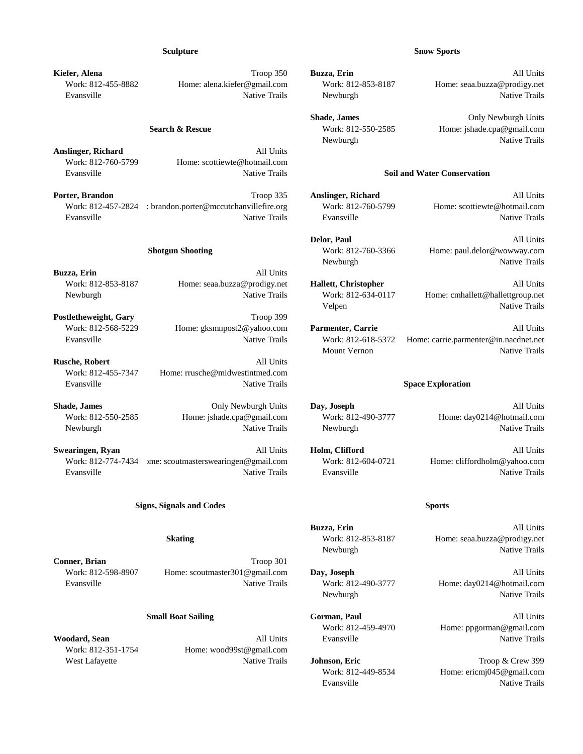### **Sculpture Snow Sports**

Work: 812-455-8882 Home: alena.kiefer@gmail.com Work: 812-853-8187 Home: seaa.buzza@prodigy.net Evansville Native Trails Newburgh Native Trails

**Anslinger, Richard All Units** Work: 812-760-5799 Home: scottiewte@hotmail.com

Evansville Native Trails **Soil and Water Conservation Porter, Brandon Porter, Brandon All Units** 

Work: 812-457-2824 : brandon.porter@mccutchanvillefire.org Work: 812-760-5799 Home: scottiewte@hotmail.com Evansville Native Trails Evansville Native Trails

**Buzza, Erin** All Units

**Postletheweight, Gary** Troop 399

**Rusche, Robert** All Units Work: 812-455-7347 Home: rrusche@midwestintmed.com Evansville **Space Exploration Native Trails Space Exploration** 

**Shade, James Only Newburgh Units <b>Day, Joseph All Units All Units** 

**Swearingen, Ryan** All Units **All Units <b>Holm, Clifford All Units All Units** Work: 812-774-7434 me: scoutmasterswearingen@gmail.com Work: 812-604-0721 Home: cliffordholm@yahoo.com Evansville Native Trails Evansville Native Trails

**Signs, Signals and Codes Sports**

**Conner, Brian** Troop 301

Work: 812-598-8907 Home: scoutmaster301@gmail.com **Day, Joseph** All Units Evansville Native Trails Work: 812-490-3777 Home: day0214@hotmail.com

Work: 812-351-1754 Home: wood99st@gmail.com West Lafayette **Native Trails Johnson, Eric** Troop & Crew 399

**Shade, James** Only Newburgh Units **Search & Rescue** Work: 812-550-2585 Home: jshade.cpa@gmail.com Newburgh Native Trails

# **Delor, Paul** All Units

**Shotgun Shooting** Work: 812-760-3366 Home: paul.delor@wowway.com Newburgh Native Trails

Work: 812-853-8187 Home: seaa.buzza@prodigy.net **Hallett, Christopher** All Units Newburgh Native Trails Work: 812-634-0117 Home: cmhallett@hallettgroup.net Velpen Native Trails

Work: 812-568-5229 Home: gksmnpost2@yahoo.com **Parmenter, Carrie** All Units Evansville Native Trails Work: 812-618-5372 Home: carrie.parmenter@in.nacdnet.net Mount Vernon Native Trails

Work: 812-550-2585 Home: jshade.cpa@gmail.com Work: 812-490-3777 Home: day0214@hotmail.com Newburgh Native Trails Newburgh Native Trails

**Buzza, Erin** All Units **Skating** Work: 812-853-8187 Home: seaa.buzza@prodigy.net Newburgh Native Trails

Newburgh Native Trails

**Small Boat Sailing 6. Comman, Paul All Units All Units All Units All Units All Units All Units All Units All Units All Units All Units All Units All Units All Units All Units All Units All Units All Units All Units All Un** Work: 812-459-4970 Home: ppgorman@gmail.com **Woodard, Sean** Native Trails **All Units** Evansville **Example 2018** 2018 12:30 Native Trails

> Work: 812-449-8534 Home: ericmj045@gmail.com Evansville Native Trails

**Kiefer, Alena** All Units **Kiefer, Alena** All Units **Reduced All Units Reduced All Units All Units All Units**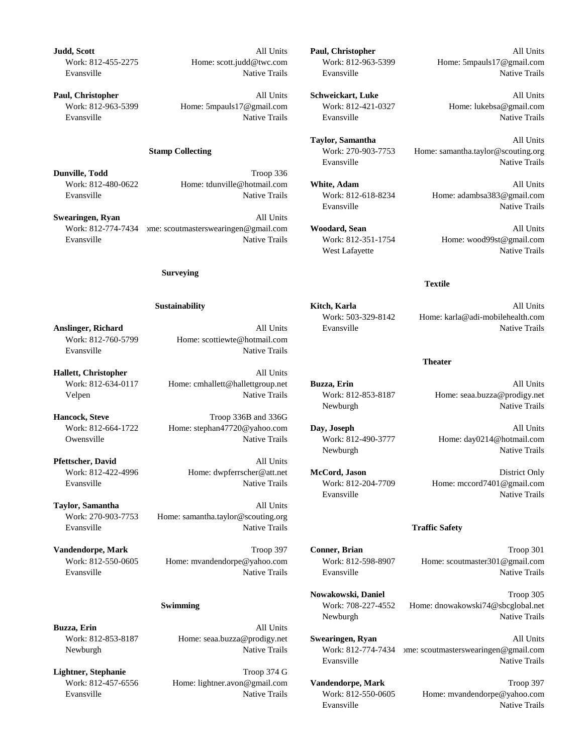**Judd, Scott** All Units **Paul, Christopher** All Units

**Dunville, Todd** Troop 336

**Swearingen, Ryan** All Units Work: 812-774-7434 me: scoutmasterswearingen@gmail.com **Woodard, Sean** All Units Evansville Native Trails Work: 812-351-1754 Home: wood99st@gmail.com

### **Surveying**

**Hallett, Christopher** All Units

Work: 812-760-5799 Home: scottiewte@hotmail.com Evansville Native Trails

Work: 812-634-0117 Home: cmhallett@hallettgroup.net **Buzza, Erin** All Units Velpen Native Trails Work: 812-853-8187 Home: seaa.buzza@prodigy.net

**Hancock, Steve** Troop 336B and 336G Work: 812-664-1722 Home: stephan47720@yahoo.com Day, Joseph All Units Owensville Native Trails Work: 812-490-3777 Home: day0214@hotmail.com

Pfettscher, David All Units

Taylor, Samantha All Units Work: 270-903-7753 Home: samantha.taylor@scouting.org Evansville Native Trails **Traffic Safety**

**Buzza, Erin** All Units

Lightner, Stephanie Troop 374 G Work: 812-457-6556 Home: lightner.avon@gmail.com **Vandendorpe, Mark** Troop 397

Work: 812-455-2275 Home: scott.judd@twc.com Work: 812-963-5399 Home: 5mpauls17@gmail.com Evansville Native Trails Evansville Native Trails

**Paul, Christopher** All Units **Schweickart, Luke** All Units Work: 812-963-5399 Home: 5mpauls17@gmail.com Work: 812-421-0327 Home: lukebsa@gmail.com Evansville Native Trails Evansville Native Trails

> Taylor, Samantha All Units **Stamp Collecting** Work: 270-903-7753 Home: samantha.taylor@scouting.org Evansville Native Trails

Work: 812-480-0622 Home: tdunville@hotmail.com **White, Adam** All Units Evansville Native Trails Work: 812-618-8234 Home: adambsa383@gmail.com Evansville Native Trails

West Lafayette Native Trails

### **Textile**

**Sustainability Kitch, Karla Kitch, Karla All Units** Work: 503-329-8142 Home: karla@adi-mobilehealth.com **Anslinger, Richard All Units** Evansville **All Units** Evansville **Native Trails** Native Trails

### **Theater**

Newburgh Native Trails

Newburgh Native Trails

Work: 812-422-4996 Home: dwpferrscher@att.net **McCord, Jason** District Only Evansville Native Trails Work: 812-204-7709 Home: mccord7401@gmail.com Evansville Native Trails

Work: 812-853-8187 Home: seaa.buzza@prodigy.net **Swearingen, Ryan** All Units Newburgh Native Trails Work: 812-774-7434 me: scoutmasterswearingen@gmail.com Evansville Native Trails

**Vandendorpe, Mark** Troop 301 **Conner, Brian** Troop 301 **Conner, Brian** Troop 301 Work: 812-550-0605 Home: mvandendorpe@yahoo.com Work: 812-598-8907 Home: scoutmaster301@gmail.com Evansville Native Trails Evansville Native Trails

> **Nowakowski, Daniel Troop 305 Swimming** Work: 708-227-4552 Home: dnowakowski74@sbcglobal.net Newburgh Native Trails

Evansville Native Trails Work: 812-550-0605 Home: mvandendorpe@yahoo.com Evansville Native Trails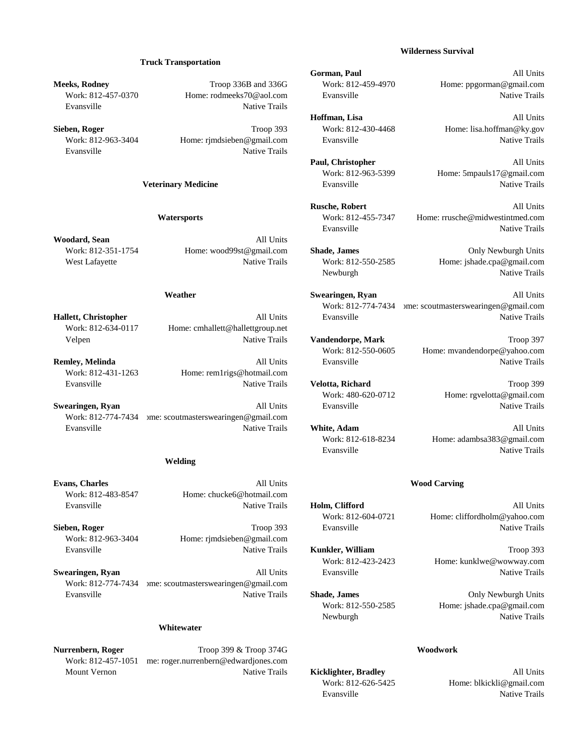### **Truck Transportation**

Evansville Native Trails

**Sieben, Roger** Troop 393 Work: 812-430-4468 Home: lisa.hoffman@ky.gov Work: 812-963-3404 Home: rjmdsieben@gmail.com Evansville Native Trails Native Trails Evansville Native Trails

Woodard, Sean All Units Work: 812-351-1754 Home: wood99st@gmail.com **Shade, James** Only Newburgh Units

Work: 812-634-0117 Home: cmhallett@hallettgroup.net

Work: 812-431-1263 Home: rem1rigs@hotmail.com

**Swearingen, Ryan** All Units Evansville Evansville Native Trails Work: 812-774-7434 >me: scoutmasterswearingen@gmail.com Evansville **Native Trails White, Adam All Units All Units All Units** 

### **Welding**

**Evans, Charles Evans, Charles All Units Wood Carving** Work: 812-483-8547 Home: chucke6@hotmail.com

Work: 812-963-3404 Home: rjmdsieben@gmail.com

**Swearingen, Ryan** All Units Evansville Evansville Native Trails Work: 812-774-7434 > me: scoutmasterswearingen@gmail.com Evansville Native Trails **Shade, James** Only Newburgh Units

### **Whitewater**

**Nurrenbern, Roger** Troop 399 & Troop 374G **Woodwork** Work: 812-457-1051 me: roger.nurrenbern@edwardjones.com Mount Vernon **Native Trails Kicklighter, Bradley All Units** All Units

**Gorman, Paul All Units Meeks, Rodney** Troop 336B and 336G Work: 812-459-4970 Home: ppgorman@gmail.com Work: 812-457-0370 Home: rodmeeks70@aol.com Evansville Evansville Native Trails

**Hoffman, Lisa** All Units

Paul, Christopher All Units Work: 812-963-5399 Home: 5mpauls17@gmail.com **Veterinary Medicine** Evansville Evansville Evansville Native Trails

**Rusche, Robert** All Units **Watersports** Work: 812-455-7347 Home: rrusche@midwestintmed.com Evansville Native Trails

West Lafayette **Native Trails** Work: 812-550-2585 Home: jshade.cpa@gmail.com Newburgh Native Trails

**Weather Swearingen, Ryan Swearing All Units** All Units Work: 812-774-7434 > me: scoutmasterswearingen@gmail.com **Hallett, Christopher All Units** Evansville **Example 2008** Native Trails Native Trails

Velpen Native Trails **Vandendorpe, Mark** Troop 397 Work: 812-550-0605 Home: mvandendorpe@yahoo.com **Remley, Melinda** All Units Evansville Native Trails

Evansville Native Trails **Velotta, Richard** Troop 399 Work: 480-620-0712 Home: rgvelotta@gmail.com

> Work: 812-618-8234 Home: adambsa383@gmail.com Evansville Native Trails

Evansville **Native Trails Holm, Clifford All Units All Units** Work: 812-604-0721 Home: cliffordholm@yahoo.com **Sieben, Roger** Native Trails **Native Trails Conserverse Conserverse Conserverse Conserverse Conserverse Conserverse Native Trails** 

Evansville Native Trails **Kunkler, William** Troop 393 Work: 812-423-2423 Home: kunklwe@wowway.com

> Work: 812-550-2585 Home: jshade.cpa@gmail.com Newburgh Native Trails

Work: 812-626-5425 Home: blkickli@gmail.com Evansville Native Trails

### **Wilderness Survival**